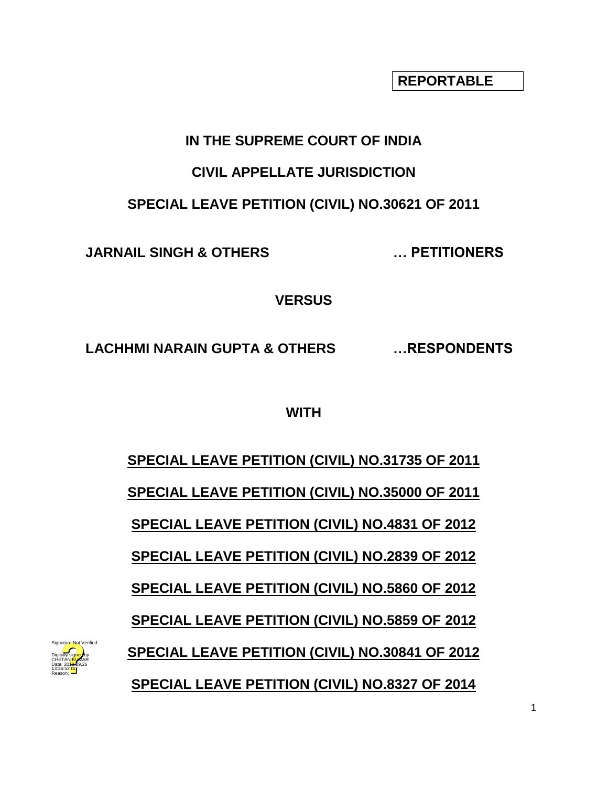**REPORTABLE**

# **IN THE SUPREME COURT OF INDIA**

# **CIVIL APPELLATE JURISDICTION**

# **SPECIAL LEAVE PETITION (CIVIL) NO.30621 OF 2011**

**JARNAIL SINGH & OTHERS … PETITIONERS**

**VERSUS**

**LACHHMI NARAIN GUPTA & OTHERS …RESPONDENTS**

**WITH**

**SPECIAL LEAVE PETITION (CIVIL) NO.31735 OF 2011 SPECIAL LEAVE PETITION (CIVIL) NO.35000 OF 2011 SPECIAL LEAVE PETITION (CIVIL) NO.4831 OF 2012 SPECIAL LEAVE PETITION (CIVIL) NO.2839 OF 2012 SPECIAL LEAVE PETITION (CIVIL) NO.5860 OF 2012 SPECIAL LEAVE PETITION (CIVIL) NO.5859 OF 2012 SPECIAL LEAVE PETITION (CIVIL) NO.30841 OF 2012 SPECIAL LEAVE PETITION (CIVIL) NO.8327 OF 2014**

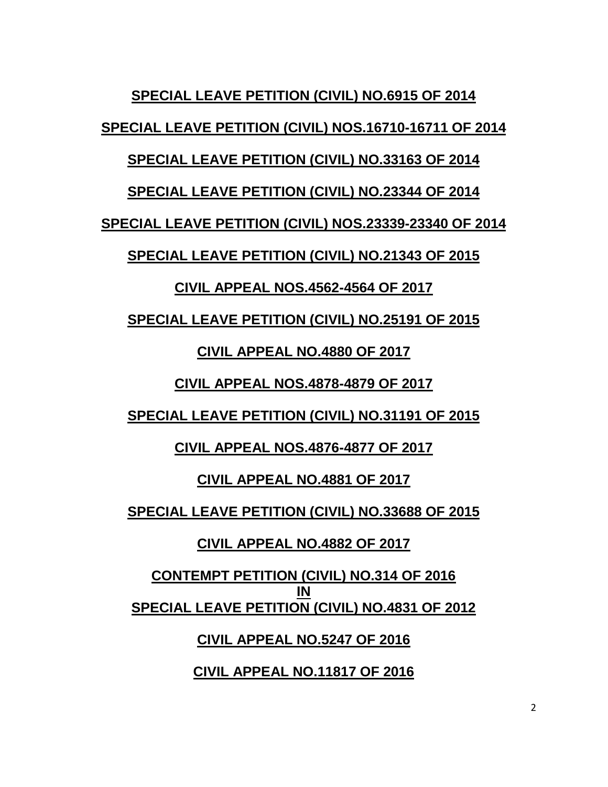**SPECIAL LEAVE PETITION (CIVIL) NO.6915 OF 2014 SPECIAL LEAVE PETITION (CIVIL) NOS.16710-16711 OF 2014 SPECIAL LEAVE PETITION (CIVIL) NO.33163 OF 2014 SPECIAL LEAVE PETITION (CIVIL) NO.23344 OF 2014 SPECIAL LEAVE PETITION (CIVIL) NOS.23339-23340 OF 2014 SPECIAL LEAVE PETITION (CIVIL) NO.21343 OF 2015 CIVIL APPEAL NOS.4562-4564 OF 2017 SPECIAL LEAVE PETITION (CIVIL) NO.25191 OF 2015 CIVIL APPEAL NO.4880 OF 2017 CIVIL APPEAL NOS.4878-4879 OF 2017 SPECIAL LEAVE PETITION (CIVIL) NO.31191 OF 2015 CIVIL APPEAL NOS.4876-4877 OF 2017 CIVIL APPEAL NO.4881 OF 2017 SPECIAL LEAVE PETITION (CIVIL) NO.33688 OF 2015 CIVIL APPEAL NO.4882 OF 2017 CONTEMPT PETITION (CIVIL) NO.314 OF 2016 IN SPECIAL LEAVE PETITION (CIVIL) NO.4831 OF 2012 CIVIL APPEAL NO.5247 OF 2016 CIVIL APPEAL NO.11817 OF 2016**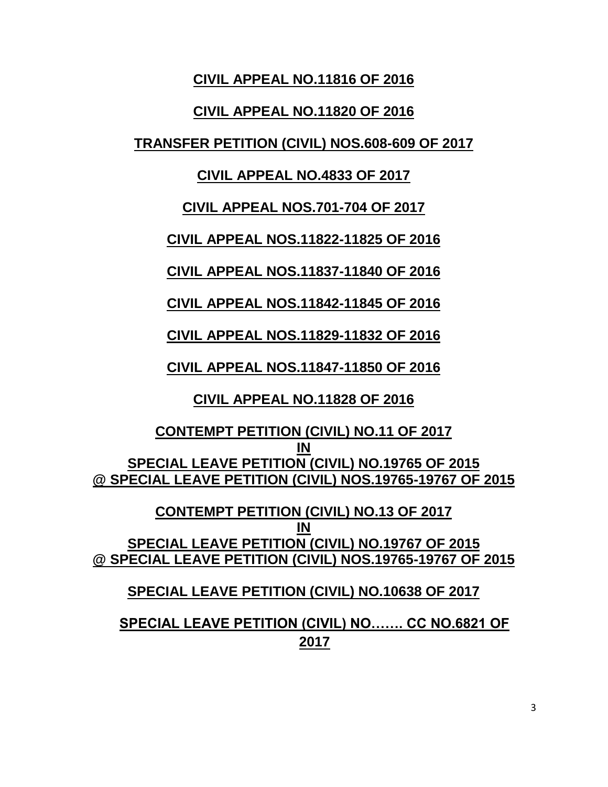#### **CIVIL APPEAL NO.11816 OF 2016**

#### **CIVIL APPEAL NO.11820 OF 2016**

**TRANSFER PETITION (CIVIL) NOS.608-609 OF 2017**

#### **CIVIL APPEAL NO.4833 OF 2017**

**CIVIL APPEAL NOS.701-704 OF 2017**

**CIVIL APPEAL NOS.11822-11825 OF 2016**

**CIVIL APPEAL NOS.11837-11840 OF 2016**

**CIVIL APPEAL NOS.11842-11845 OF 2016**

**CIVIL APPEAL NOS.11829-11832 OF 2016**

**CIVIL APPEAL NOS.11847-11850 OF 2016**

**CIVIL APPEAL NO.11828 OF 2016**

### **CONTEMPT PETITION (CIVIL) NO.11 OF 2017 IN SPECIAL LEAVE PETITION (CIVIL) NO.19765 OF 2015 @ SPECIAL LEAVE PETITION (CIVIL) NOS.19765-19767 OF 2015**

**CONTEMPT PETITION (CIVIL) NO.13 OF 2017 IN SPECIAL LEAVE PETITION (CIVIL) NO.19767 OF 2015 @ SPECIAL LEAVE PETITION (CIVIL) NOS.19765-19767 OF 2015**

### **SPECIAL LEAVE PETITION (CIVIL) NO.10638 OF 2017**

**SPECIAL LEAVE PETITION (CIVIL) NO……. CC NO.6821 OF 2017**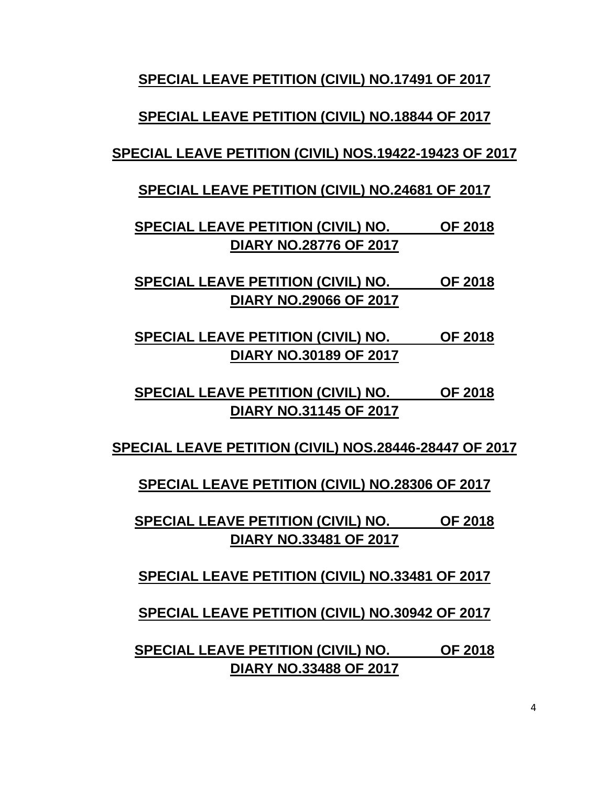### **SPECIAL LEAVE PETITION (CIVIL) NO.17491 OF 2017**

#### **SPECIAL LEAVE PETITION (CIVIL) NO.18844 OF 2017**

**SPECIAL LEAVE PETITION (CIVIL) NOS.19422-19423 OF 2017**

### **SPECIAL LEAVE PETITION (CIVIL) NO.24681 OF 2017**

### **SPECIAL LEAVE PETITION (CIVIL) NO. OF 2018 DIARY NO.28776 OF 2017**

**SPECIAL LEAVE PETITION (CIVIL) NO. OF 2018 DIARY NO.29066 OF 2017**

**SPECIAL LEAVE PETITION (CIVIL) NO. OF 2018 DIARY NO.30189 OF 2017**

# **SPECIAL LEAVE PETITION (CIVIL) NO. OF 2018 DIARY NO.31145 OF 2017**

### **SPECIAL LEAVE PETITION (CIVIL) NOS.28446-28447 OF 2017**

### **SPECIAL LEAVE PETITION (CIVIL) NO.28306 OF 2017**

**SPECIAL LEAVE PETITION (CIVIL) NO. OF 2018 DIARY NO.33481 OF 2017**

### **SPECIAL LEAVE PETITION (CIVIL) NO.33481 OF 2017**

### **SPECIAL LEAVE PETITION (CIVIL) NO.30942 OF 2017**

# **SPECIAL LEAVE PETITION (CIVIL) NO. OF 2018 DIARY NO.33488 OF 2017**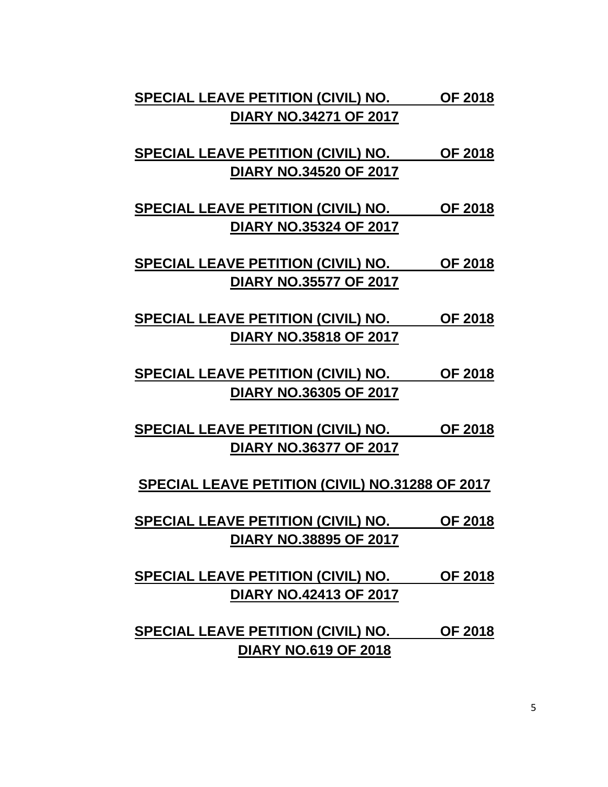| <b>SPECIAL LEAVE PETITION (CIVIL) NO.</b> | <b>OF 2018</b> |
|-------------------------------------------|----------------|
| <b>DIARY NO.34271 OF 2017</b>             |                |

- **SPECIAL LEAVE PETITION (CIVIL) NO. OF 2018 DIARY NO.34520 OF 2017**
- **SPECIAL LEAVE PETITION (CIVIL) NO. OF 2018 DIARY NO.35324 OF 2017**

**SPECIAL LEAVE PETITION (CIVIL) NO. OF 2018 DIARY NO.35577 OF 2017**

- **SPECIAL LEAVE PETITION (CIVIL) NO. OF 2018 DIARY NO.35818 OF 2017**
- **SPECIAL LEAVE PETITION (CIVIL) NO. OF 2018 DIARY NO.36305 OF 2017**
- **SPECIAL LEAVE PETITION (CIVIL) NO. OF 2018 DIARY NO.36377 OF 2017**
- **SPECIAL LEAVE PETITION (CIVIL) NO.31288 OF 2017**
- **SPECIAL LEAVE PETITION (CIVIL) NO. OF 2018 DIARY NO.38895 OF 2017**
- **SPECIAL LEAVE PETITION (CIVIL) NO. OF 2018 DIARY NO.42413 OF 2017**
- **SPECIAL LEAVE PETITION (CIVIL) NO. OF 2018 DIARY NO.619 OF 2018**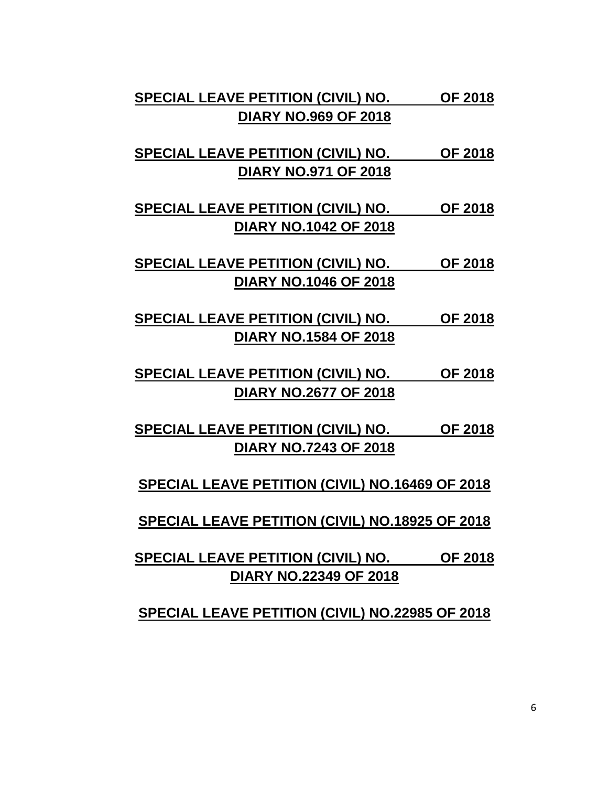| <b>SPECIAL LEAVE PETITION (CIVIL) NO.</b> | <b>OF 2018</b> |
|-------------------------------------------|----------------|
| <b>DIARY NO.969 OF 2018</b>               |                |

- **SPECIAL LEAVE PETITION (CIVIL) NO. OF 2018 DIARY NO.971 OF 2018**
- **SPECIAL LEAVE PETITION (CIVIL) NO. OF 2018 DIARY NO.1042 OF 2018**

**SPECIAL LEAVE PETITION (CIVIL) NO. OF 2018 DIARY NO.1046 OF 2018**

- **SPECIAL LEAVE PETITION (CIVIL) NO. OF 2018 DIARY NO.1584 OF 2018**
- **SPECIAL LEAVE PETITION (CIVIL) NO. OF 2018 DIARY NO.2677 OF 2018**

**SPECIAL LEAVE PETITION (CIVIL) NO. OF 2018 DIARY NO.7243 OF 2018**

**SPECIAL LEAVE PETITION (CIVIL) NO.16469 OF 2018**

**SPECIAL LEAVE PETITION (CIVIL) NO.18925 OF 2018**

**SPECIAL LEAVE PETITION (CIVIL) NO. OF 2018 DIARY NO.22349 OF 2018**

**SPECIAL LEAVE PETITION (CIVIL) NO.22985 OF 2018**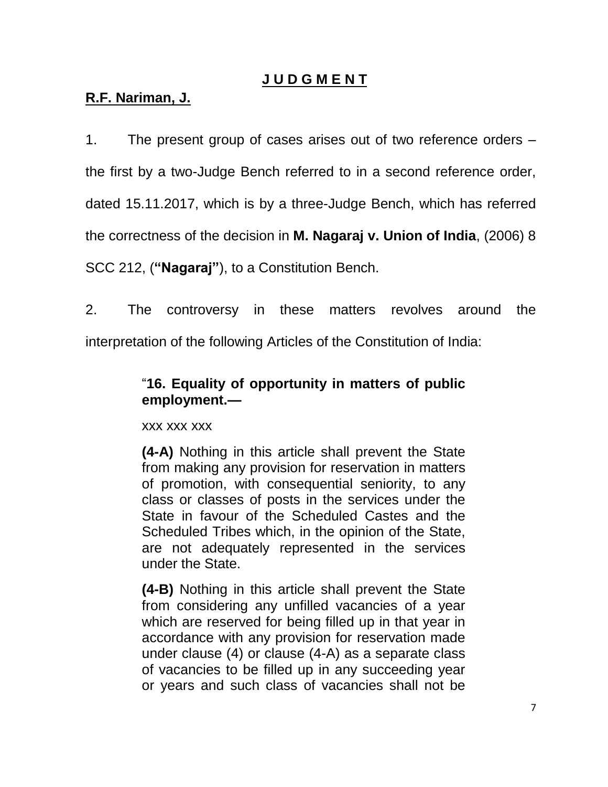### **J U D G M E N T**

# **R.F. Nariman, J.**

1. The present group of cases arises out of two reference orders – the first by a two-Judge Bench referred to in a second reference order, dated 15.11.2017, which is by a three-Judge Bench, which has referred the correctness of the decision in **M. Nagaraj v. Union of India**, (2006) 8 SCC 212, (**"Nagaraj"**), to a Constitution Bench.

2. The controversy in these matters revolves around the interpretation of the following Articles of the Constitution of India:

# ―**16. Equality of opportunity in matters of public employment.—**

### xxx xxx xxx

**(4-A)** Nothing in this article shall prevent the State from making any provision for reservation in matters of promotion, with consequential seniority, to any class or classes of posts in the services under the State in favour of the Scheduled Castes and the Scheduled Tribes which, in the opinion of the State, are not adequately represented in the services under the State.

**(4-B)** Nothing in this article shall prevent the State from considering any unfilled vacancies of a year which are reserved for being filled up in that year in accordance with any provision for reservation made under clause (4) or clause (4-A) as a separate class of vacancies to be filled up in any succeeding year or years and such class of vacancies shall not be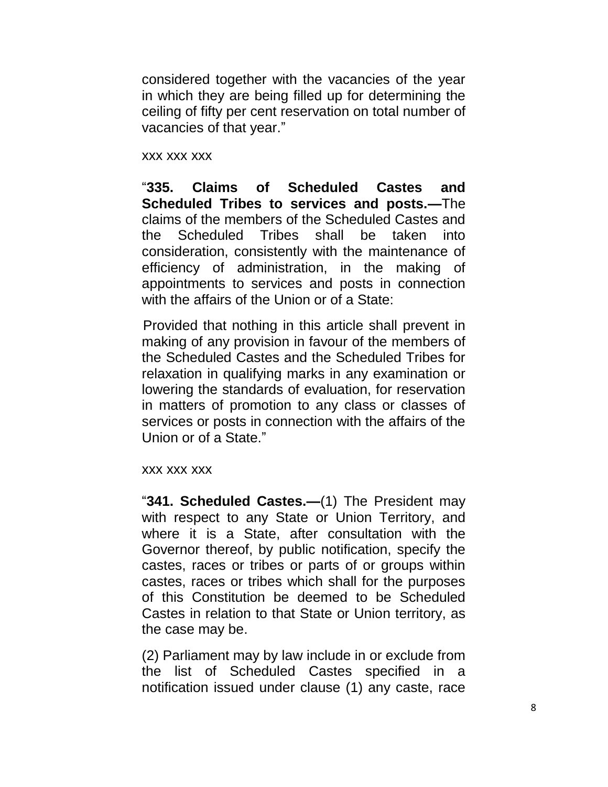considered together with the vacancies of the year in which they are being filled up for determining the ceiling of fifty per cent reservation on total number of vacancies of that year."

xxx xxx xxx

―**335. Claims of Scheduled Castes and Scheduled Tribes to services and posts.—**The claims of the members of the Scheduled Castes and the Scheduled Tribes shall be taken into consideration, consistently with the maintenance of efficiency of administration, in the making of appointments to services and posts in connection with the affairs of the Union or of a State:

Provided that nothing in this article shall prevent in making of any provision in favour of the members of the Scheduled Castes and the Scheduled Tribes for relaxation in qualifying marks in any examination or lowering the standards of evaluation, for reservation in matters of promotion to any class or classes of services or posts in connection with the affairs of the Union or of a State."

xxx xxx xxx

―**341. Scheduled Castes.—**(1) The President may with respect to any State or Union Territory, and where it is a State, after consultation with the Governor thereof, by public notification, specify the castes, races or tribes or parts of or groups within castes, races or tribes which shall for the purposes of this Constitution be deemed to be Scheduled Castes in relation to that State or Union territory, as the case may be.

(2) Parliament may by law include in or exclude from the list of Scheduled Castes specified in a notification issued under clause (1) any caste, race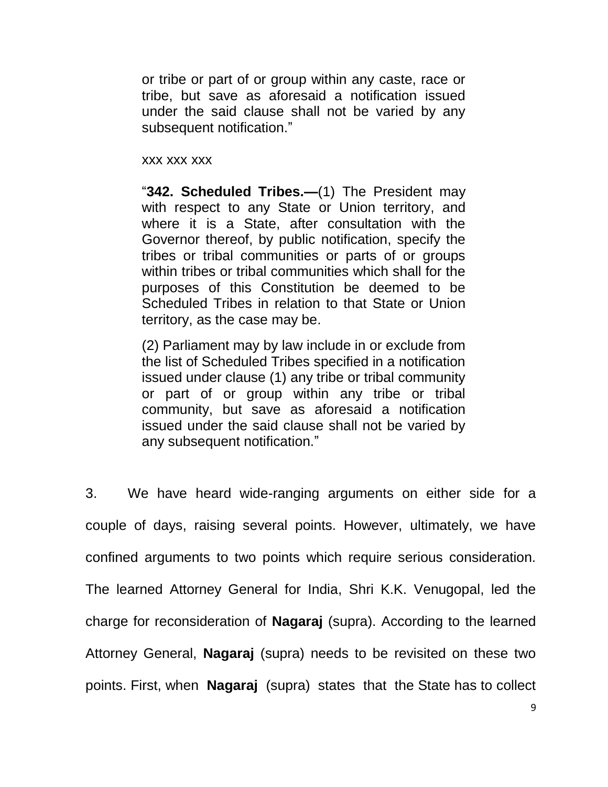or tribe or part of or group within any caste, race or tribe, but save as aforesaid a notification issued under the said clause shall not be varied by any subsequent notification."

xxx xxx xxx

―**342. Scheduled Tribes.—**(1) The President may with respect to any State or Union territory, and where it is a State, after consultation with the Governor thereof, by public notification, specify the tribes or tribal communities or parts of or groups within tribes or tribal communities which shall for the purposes of this Constitution be deemed to be Scheduled Tribes in relation to that State or Union territory, as the case may be.

(2) Parliament may by law include in or exclude from the list of Scheduled Tribes specified in a notification issued under clause (1) any tribe or tribal community or part of or group within any tribe or tribal community, but save as aforesaid a notification issued under the said clause shall not be varied by any subsequent notification."

3. We have heard wide-ranging arguments on either side for a couple of days, raising several points. However, ultimately, we have confined arguments to two points which require serious consideration. The learned Attorney General for India, Shri K.K. Venugopal, led the charge for reconsideration of **Nagaraj** (supra). According to the learned Attorney General, **Nagaraj** (supra) needs to be revisited on these two points. First, when **Nagaraj** (supra) states that the State has to collect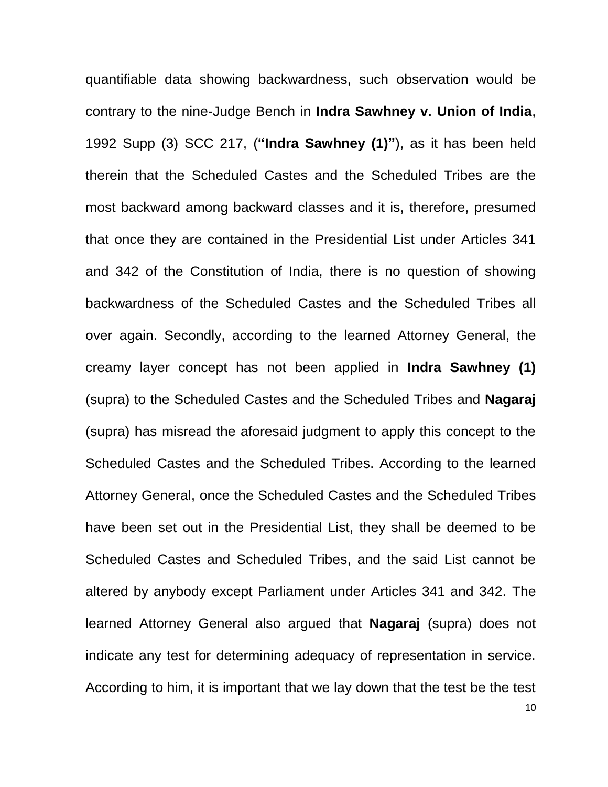quantifiable data showing backwardness, such observation would be contrary to the nine-Judge Bench in **Indra Sawhney v. Union of India**, 1992 Supp (3) SCC 217, (**"Indra Sawhney (1)"**), as it has been held therein that the Scheduled Castes and the Scheduled Tribes are the most backward among backward classes and it is, therefore, presumed that once they are contained in the Presidential List under Articles 341 and 342 of the Constitution of India, there is no question of showing backwardness of the Scheduled Castes and the Scheduled Tribes all over again. Secondly, according to the learned Attorney General, the creamy layer concept has not been applied in **Indra Sawhney (1)** (supra) to the Scheduled Castes and the Scheduled Tribes and **Nagaraj** (supra) has misread the aforesaid judgment to apply this concept to the Scheduled Castes and the Scheduled Tribes. According to the learned Attorney General, once the Scheduled Castes and the Scheduled Tribes have been set out in the Presidential List, they shall be deemed to be Scheduled Castes and Scheduled Tribes, and the said List cannot be altered by anybody except Parliament under Articles 341 and 342. The learned Attorney General also argued that **Nagaraj** (supra) does not indicate any test for determining adequacy of representation in service. According to him, it is important that we lay down that the test be the test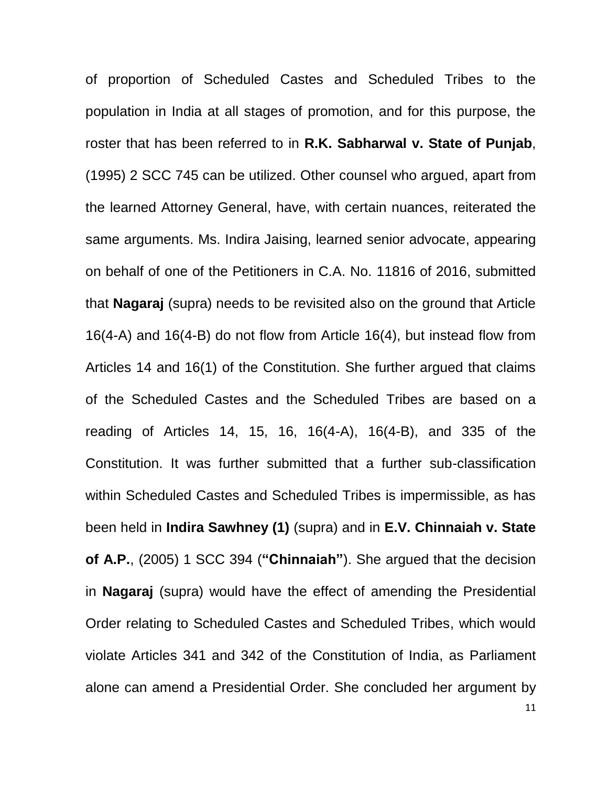11 of proportion of Scheduled Castes and Scheduled Tribes to the population in India at all stages of promotion, and for this purpose, the roster that has been referred to in **R.K. Sabharwal v. State of Punjab**, (1995) 2 SCC 745 can be utilized. Other counsel who argued, apart from the learned Attorney General, have, with certain nuances, reiterated the same arguments. Ms. Indira Jaising, learned senior advocate, appearing on behalf of one of the Petitioners in C.A. No. 11816 of 2016, submitted that **Nagaraj** (supra) needs to be revisited also on the ground that Article 16(4-A) and 16(4-B) do not flow from Article 16(4), but instead flow from Articles 14 and 16(1) of the Constitution. She further argued that claims of the Scheduled Castes and the Scheduled Tribes are based on a reading of Articles 14, 15, 16, 16(4-A), 16(4-B), and 335 of the Constitution. It was further submitted that a further sub-classification within Scheduled Castes and Scheduled Tribes is impermissible, as has been held in **Indira Sawhney (1)** (supra) and in **E.V. Chinnaiah v. State of A.P.**, (2005) 1 SCC 394 (**"Chinnaiah"**). She argued that the decision in **Nagaraj** (supra) would have the effect of amending the Presidential Order relating to Scheduled Castes and Scheduled Tribes, which would violate Articles 341 and 342 of the Constitution of India, as Parliament alone can amend a Presidential Order. She concluded her argument by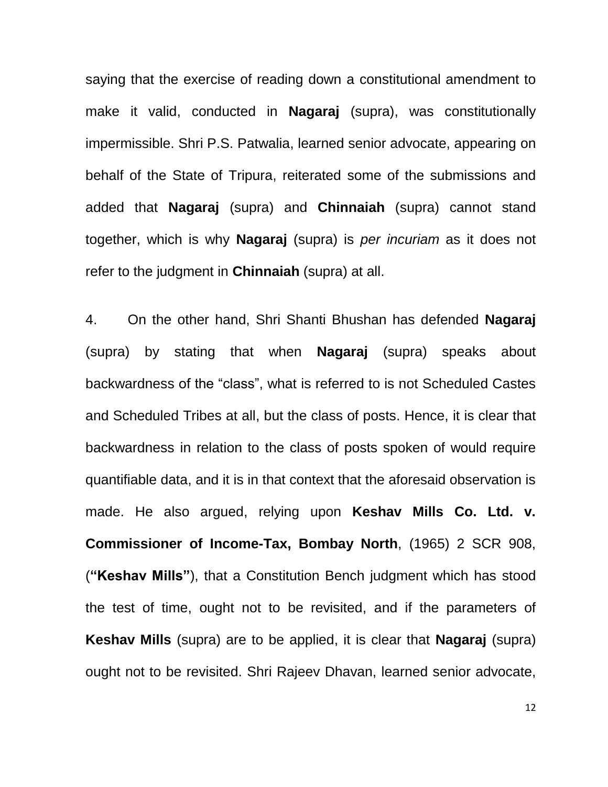saying that the exercise of reading down a constitutional amendment to make it valid, conducted in **Nagaraj** (supra), was constitutionally impermissible. Shri P.S. Patwalia, learned senior advocate, appearing on behalf of the State of Tripura, reiterated some of the submissions and added that **Nagaraj** (supra) and **Chinnaiah** (supra) cannot stand together, which is why **Nagaraj** (supra) is *per incuriam* as it does not refer to the judgment in **Chinnaiah** (supra) at all.

4. On the other hand, Shri Shanti Bhushan has defended **Nagaraj** (supra) by stating that when **Nagaraj** (supra) speaks about backwardness of the "class", what is referred to is not Scheduled Castes and Scheduled Tribes at all, but the class of posts. Hence, it is clear that backwardness in relation to the class of posts spoken of would require quantifiable data, and it is in that context that the aforesaid observation is made. He also argued, relying upon **Keshav Mills Co. Ltd. v. Commissioner of Income-Tax, Bombay North**, (1965) 2 SCR 908, (**"Keshav Mills"**), that a Constitution Bench judgment which has stood the test of time, ought not to be revisited, and if the parameters of **Keshav Mills** (supra) are to be applied, it is clear that **Nagaraj** (supra) ought not to be revisited. Shri Rajeev Dhavan, learned senior advocate,

12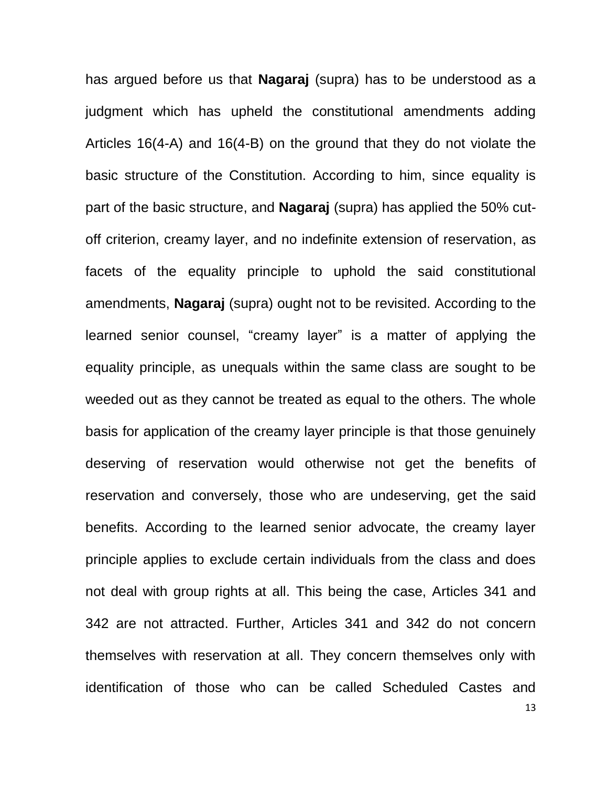13 has argued before us that **Nagaraj** (supra) has to be understood as a judgment which has upheld the constitutional amendments adding Articles 16(4-A) and 16(4-B) on the ground that they do not violate the basic structure of the Constitution. According to him, since equality is part of the basic structure, and **Nagaraj** (supra) has applied the 50% cutoff criterion, creamy layer, and no indefinite extension of reservation, as facets of the equality principle to uphold the said constitutional amendments, **Nagaraj** (supra) ought not to be revisited. According to the learned senior counsel, "creamy layer" is a matter of applying the equality principle, as unequals within the same class are sought to be weeded out as they cannot be treated as equal to the others. The whole basis for application of the creamy layer principle is that those genuinely deserving of reservation would otherwise not get the benefits of reservation and conversely, those who are undeserving, get the said benefits. According to the learned senior advocate, the creamy layer principle applies to exclude certain individuals from the class and does not deal with group rights at all. This being the case, Articles 341 and 342 are not attracted. Further, Articles 341 and 342 do not concern themselves with reservation at all. They concern themselves only with identification of those who can be called Scheduled Castes and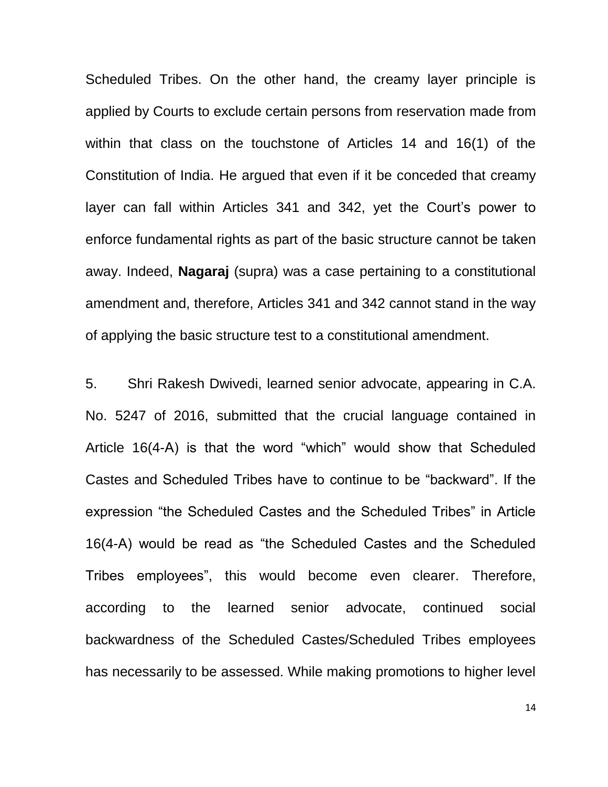Scheduled Tribes. On the other hand, the creamy layer principle is applied by Courts to exclude certain persons from reservation made from within that class on the touchstone of Articles 14 and 16(1) of the Constitution of India. He argued that even if it be conceded that creamy layer can fall within Articles 341 and 342, yet the Court's power to enforce fundamental rights as part of the basic structure cannot be taken away. Indeed, **Nagaraj** (supra) was a case pertaining to a constitutional amendment and, therefore, Articles 341 and 342 cannot stand in the way of applying the basic structure test to a constitutional amendment.

5. Shri Rakesh Dwivedi, learned senior advocate, appearing in C.A. No. 5247 of 2016, submitted that the crucial language contained in Article 16(4-A) is that the word "which" would show that Scheduled Castes and Scheduled Tribes have to continue to be "backward". If the expression "the Scheduled Castes and the Scheduled Tribes" in Article 16(4-A) would be read as "the Scheduled Castes and the Scheduled Tribes employees", this would become even clearer. Therefore, according to the learned senior advocate, continued social backwardness of the Scheduled Castes/Scheduled Tribes employees has necessarily to be assessed. While making promotions to higher level

14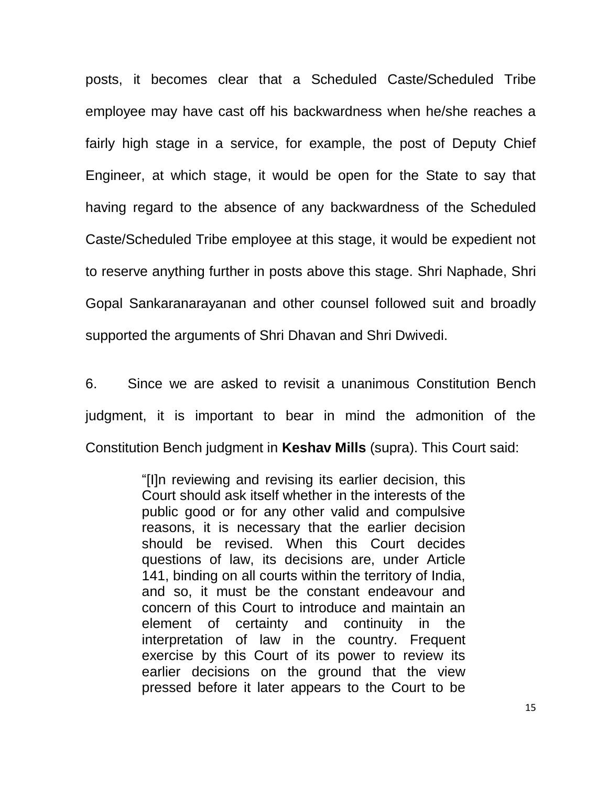posts, it becomes clear that a Scheduled Caste/Scheduled Tribe employee may have cast off his backwardness when he/she reaches a fairly high stage in a service, for example, the post of Deputy Chief Engineer, at which stage, it would be open for the State to say that having regard to the absence of any backwardness of the Scheduled Caste/Scheduled Tribe employee at this stage, it would be expedient not to reserve anything further in posts above this stage. Shri Naphade, Shri Gopal Sankaranarayanan and other counsel followed suit and broadly supported the arguments of Shri Dhavan and Shri Dwivedi.

6. Since we are asked to revisit a unanimous Constitution Bench judgment, it is important to bear in mind the admonition of the Constitution Bench judgment in **Keshav Mills** (supra). This Court said:

> "[I]n reviewing and revising its earlier decision, this Court should ask itself whether in the interests of the public good or for any other valid and compulsive reasons, it is necessary that the earlier decision should be revised. When this Court decides questions of law, its decisions are, under Article 141, binding on all courts within the territory of India, and so, it must be the constant endeavour and concern of this Court to introduce and maintain an element of certainty and continuity in the interpretation of law in the country. Frequent exercise by this Court of its power to review its earlier decisions on the ground that the view pressed before it later appears to the Court to be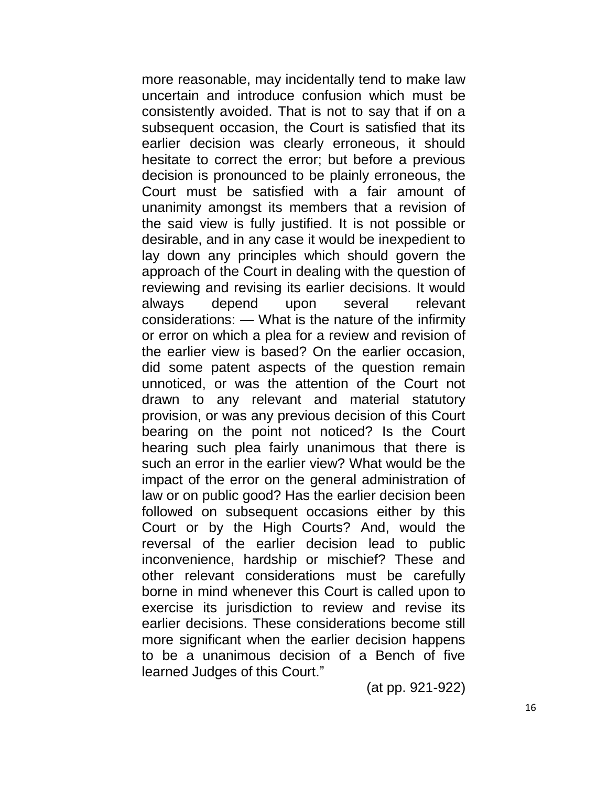more reasonable, may incidentally tend to make law uncertain and introduce confusion which must be consistently avoided. That is not to say that if on a subsequent occasion, the Court is satisfied that its earlier decision was clearly erroneous, it should hesitate to correct the error; but before a previous decision is pronounced to be plainly erroneous, the Court must be satisfied with a fair amount of unanimity amongst its members that a revision of the said view is fully justified. It is not possible or desirable, and in any case it would be inexpedient to lay down any principles which should govern the approach of the Court in dealing with the question of reviewing and revising its earlier decisions. It would always depend upon several relevant considerations: — What is the nature of the infirmity or error on which a plea for a review and revision of the earlier view is based? On the earlier occasion, did some patent aspects of the question remain unnoticed, or was the attention of the Court not drawn to any relevant and material statutory provision, or was any previous decision of this Court bearing on the point not noticed? Is the Court hearing such plea fairly unanimous that there is such an error in the earlier view? What would be the impact of the error on the general administration of law or on public good? Has the earlier decision been followed on subsequent occasions either by this Court or by the High Courts? And, would the reversal of the earlier decision lead to public inconvenience, hardship or mischief? These and other relevant considerations must be carefully borne in mind whenever this Court is called upon to exercise its jurisdiction to review and revise its earlier decisions. These considerations become still more significant when the earlier decision happens to be a unanimous decision of a Bench of five learned Judges of this Court."

(at pp. 921-922)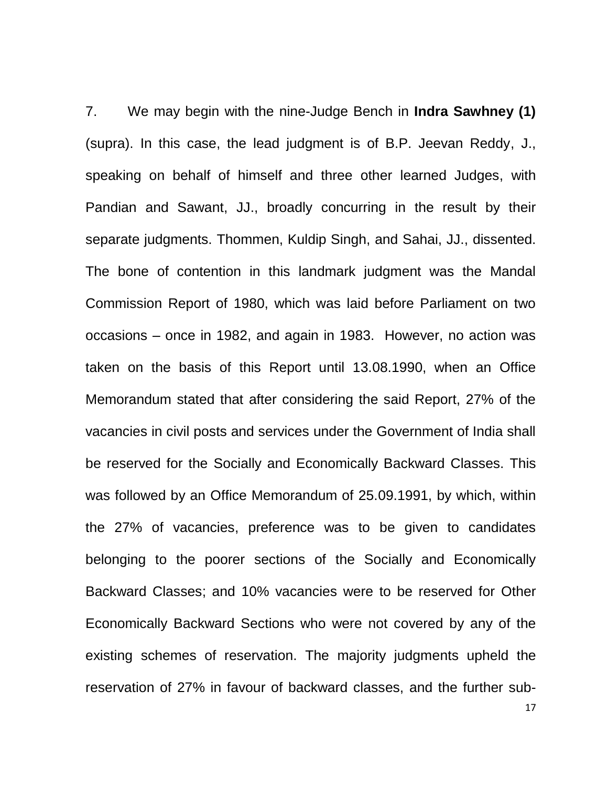7. We may begin with the nine-Judge Bench in **Indra Sawhney (1)** (supra). In this case, the lead judgment is of B.P. Jeevan Reddy, J., speaking on behalf of himself and three other learned Judges, with Pandian and Sawant, JJ., broadly concurring in the result by their separate judgments. Thommen, Kuldip Singh, and Sahai, JJ., dissented. The bone of contention in this landmark judgment was the Mandal Commission Report of 1980, which was laid before Parliament on two occasions – once in 1982, and again in 1983. However, no action was taken on the basis of this Report until 13.08.1990, when an Office Memorandum stated that after considering the said Report, 27% of the vacancies in civil posts and services under the Government of India shall be reserved for the Socially and Economically Backward Classes. This was followed by an Office Memorandum of 25.09.1991, by which, within the 27% of vacancies, preference was to be given to candidates belonging to the poorer sections of the Socially and Economically Backward Classes; and 10% vacancies were to be reserved for Other Economically Backward Sections who were not covered by any of the existing schemes of reservation. The majority judgments upheld the reservation of 27% in favour of backward classes, and the further sub-

17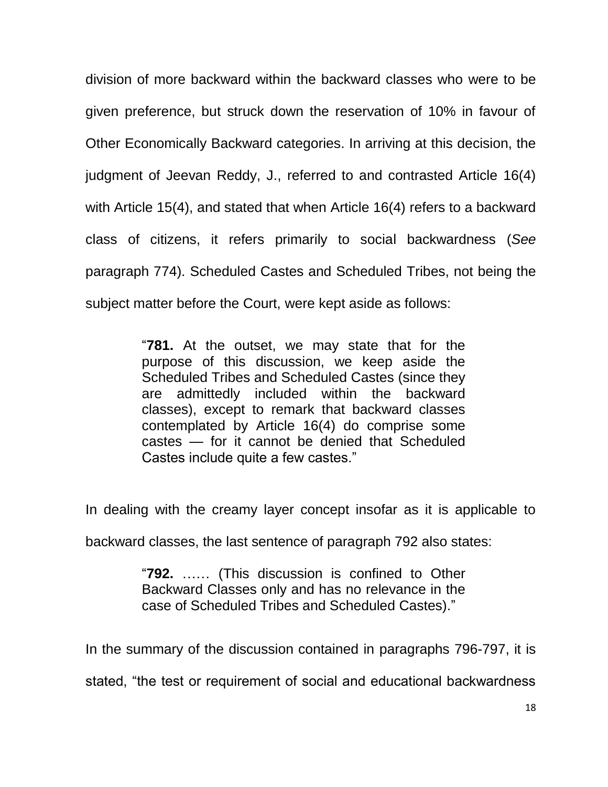division of more backward within the backward classes who were to be given preference, but struck down the reservation of 10% in favour of Other Economically Backward categories. In arriving at this decision, the judgment of Jeevan Reddy, J., referred to and contrasted Article 16(4) with Article 15(4), and stated that when Article 16(4) refers to a backward class of citizens, it refers primarily to social backwardness (*See* paragraph 774). Scheduled Castes and Scheduled Tribes, not being the subject matter before the Court, were kept aside as follows:

> ―**781.** At the outset, we may state that for the purpose of this discussion, we keep aside the Scheduled Tribes and Scheduled Castes (since they are admittedly included within the backward classes), except to remark that backward classes contemplated by Article 16(4) do comprise some castes — for it cannot be denied that Scheduled Castes include quite a few castes."

In dealing with the creamy layer concept insofar as it is applicable to

backward classes, the last sentence of paragraph 792 also states:

―**792.** …… (This discussion is confined to Other Backward Classes only and has no relevance in the case of Scheduled Tribes and Scheduled Castes)."

In the summary of the discussion contained in paragraphs 796-797, it is stated, "the test or requirement of social and educational backwardness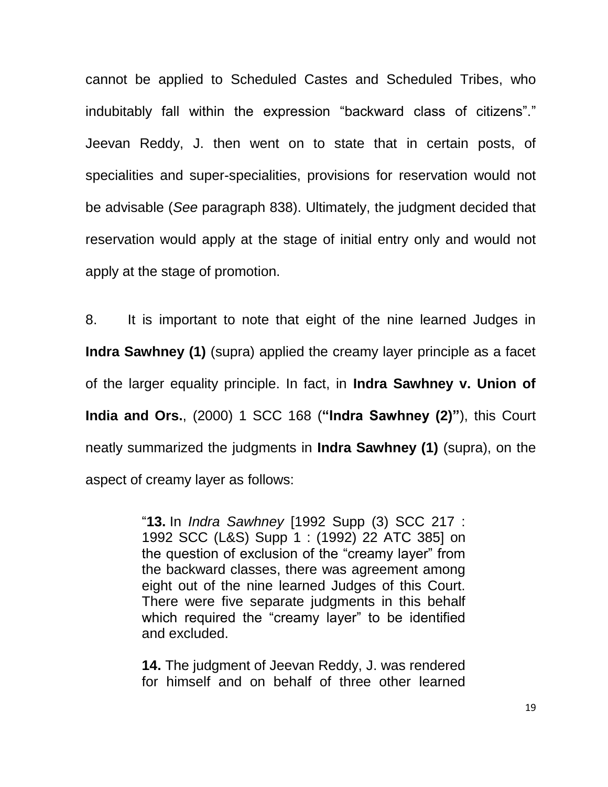cannot be applied to Scheduled Castes and Scheduled Tribes, who indubitably fall within the expression "backward class of citizens"." Jeevan Reddy, J. then went on to state that in certain posts, of specialities and super-specialities, provisions for reservation would not be advisable (*See* paragraph 838). Ultimately, the judgment decided that reservation would apply at the stage of initial entry only and would not apply at the stage of promotion.

8. It is important to note that eight of the nine learned Judges in **Indra Sawhney (1)** (supra) applied the creamy layer principle as a facet of the larger equality principle. In fact, in **Indra Sawhney v. Union of India and Ors.**, (2000) 1 SCC 168 (**"Indra Sawhney (2)"**), this Court neatly summarized the judgments in **Indra Sawhney (1)** (supra), on the aspect of creamy layer as follows:

> ―**13.** In *Indra Sawhney* [1992 Supp (3) SCC 217 : 1992 SCC (L&S) Supp 1 : (1992) 22 ATC 385] on the question of exclusion of the "creamy layer" from the backward classes, there was agreement among eight out of the nine learned Judges of this Court. There were five separate judgments in this behalf which required the "creamy layer" to be identified and excluded.

> **14.** The judgment of Jeevan Reddy, J. was rendered for himself and on behalf of three other learned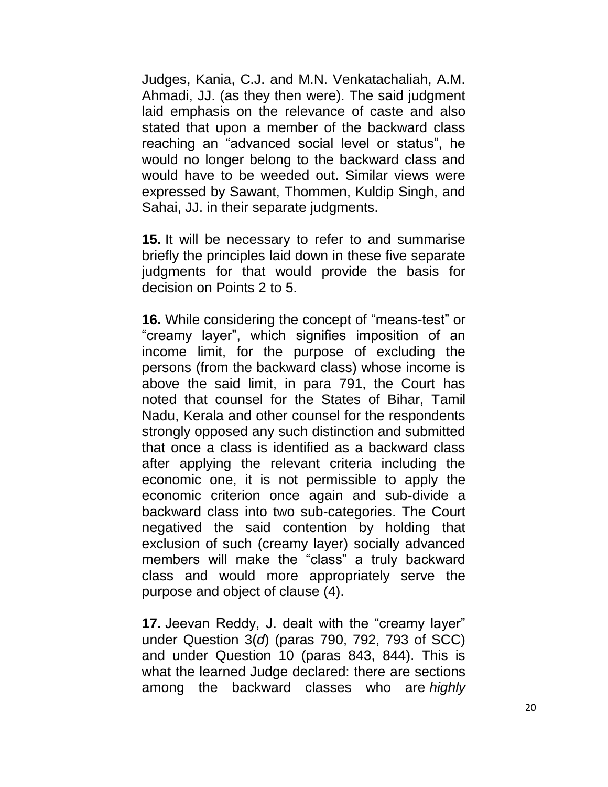Judges, Kania, C.J. and M.N. Venkatachaliah, A.M. Ahmadi, JJ. (as they then were). The said judgment laid emphasis on the relevance of caste and also stated that upon a member of the backward class reaching an "advanced social level or status", he would no longer belong to the backward class and would have to be weeded out. Similar views were expressed by Sawant, Thommen, Kuldip Singh, and Sahai, JJ. in their separate judgments.

**15.** It will be necessary to refer to and summarise briefly the principles laid down in these five separate judgments for that would provide the basis for decision on Points 2 to 5.

**16.** While considering the concept of "means-test" or ―creamy layer‖, which signifies imposition of an income limit, for the purpose of excluding the persons (from the backward class) whose income is above the said limit, in para 791, the Court has noted that counsel for the States of Bihar, Tamil Nadu, Kerala and other counsel for the respondents strongly opposed any such distinction and submitted that once a class is identified as a backward class after applying the relevant criteria including the economic one, it is not permissible to apply the economic criterion once again and sub-divide a backward class into two sub-categories. The Court negatived the said contention by holding that exclusion of such (creamy layer) socially advanced members will make the "class" a truly backward class and would more appropriately serve the purpose and object of clause (4).

**17.** Jeevan Reddy, J. dealt with the "creamy layer" under Question 3(*d*) (paras 790, 792, 793 of SCC) and under Question 10 (paras 843, 844). This is what the learned Judge declared: there are sections among the backward classes who are *highly*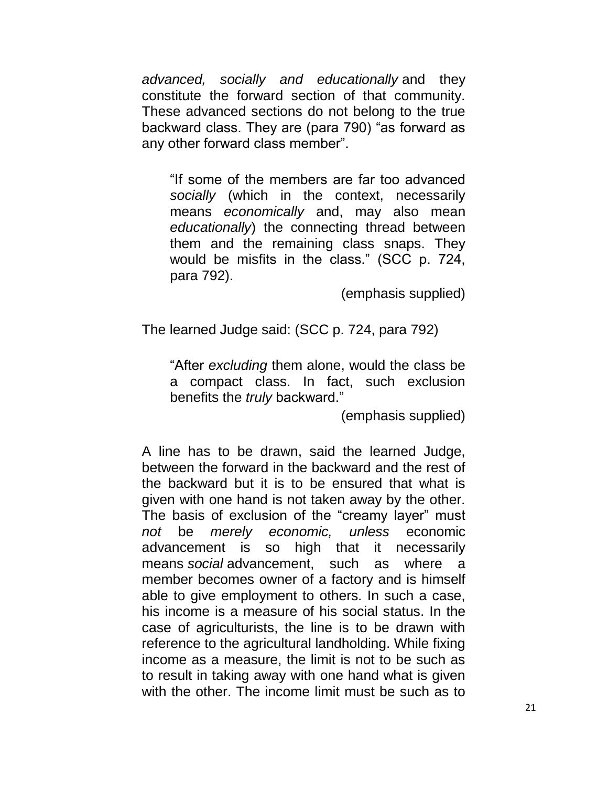*advanced, socially and educationally* and they constitute the forward section of that community. These advanced sections do not belong to the true backward class. They are (para 790) "as forward as any other forward class member".

"If some of the members are far too advanced *socially* (which in the context, necessarily means *economically* and, may also mean *educationally*) the connecting thread between them and the remaining class snaps. They would be misfits in the class.‖ (SCC p. 724, para 792).

(emphasis supplied)

The learned Judge said: (SCC p. 724, para 792)

―After *excluding* them alone, would the class be a compact class. In fact, such exclusion benefits the *truly* backward."

(emphasis supplied)

A line has to be drawn, said the learned Judge, between the forward in the backward and the rest of the backward but it is to be ensured that what is given with one hand is not taken away by the other. The basis of exclusion of the "creamy layer" must *not* be *merely economic, unless* economic advancement is so high that it necessarily means *social* advancement, such as where a member becomes owner of a factory and is himself able to give employment to others. In such a case, his income is a measure of his social status. In the case of agriculturists, the line is to be drawn with reference to the agricultural landholding. While fixing income as a measure, the limit is not to be such as to result in taking away with one hand what is given with the other. The income limit must be such as to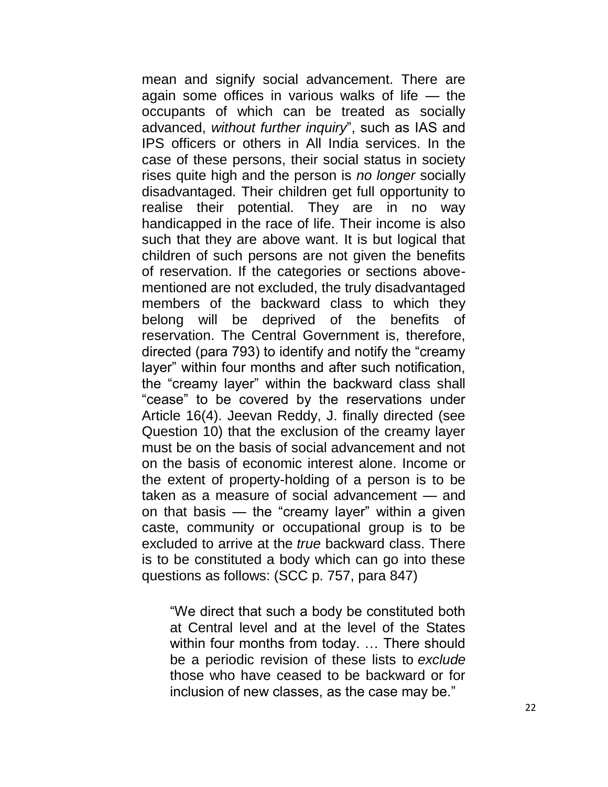mean and signify social advancement. There are again some offices in various walks of life — the occupants of which can be treated as socially advanced, *without further inquiry*‖, such as IAS and IPS officers or others in All India services. In the case of these persons, their social status in society rises quite high and the person is *no longer* socially disadvantaged. Their children get full opportunity to realise their potential. They are in no way handicapped in the race of life. Their income is also such that they are above want. It is but logical that children of such persons are not given the benefits of reservation. If the categories or sections abovementioned are not excluded, the truly disadvantaged members of the backward class to which they belong will be deprived of the benefits of reservation. The Central Government is, therefore, directed (para 793) to identify and notify the "creamy" layer" within four months and after such notification, the "creamy layer" within the backward class shall ―cease‖ to be covered by the reservations under Article 16(4). Jeevan Reddy, J. finally directed (see Question 10) that the exclusion of the creamy layer must be on the basis of social advancement and not on the basis of economic interest alone. Income or the extent of property-holding of a person is to be taken as a measure of social advancement — and on that basis — the "creamy layer" within a given caste, community or occupational group is to be excluded to arrive at the *true* backward class. There is to be constituted a body which can go into these questions as follows: (SCC p. 757, para 847)

―We direct that such a body be constituted both at Central level and at the level of the States within four months from today. … There should be a periodic revision of these lists to *exclude* those who have ceased to be backward or for inclusion of new classes, as the case may be."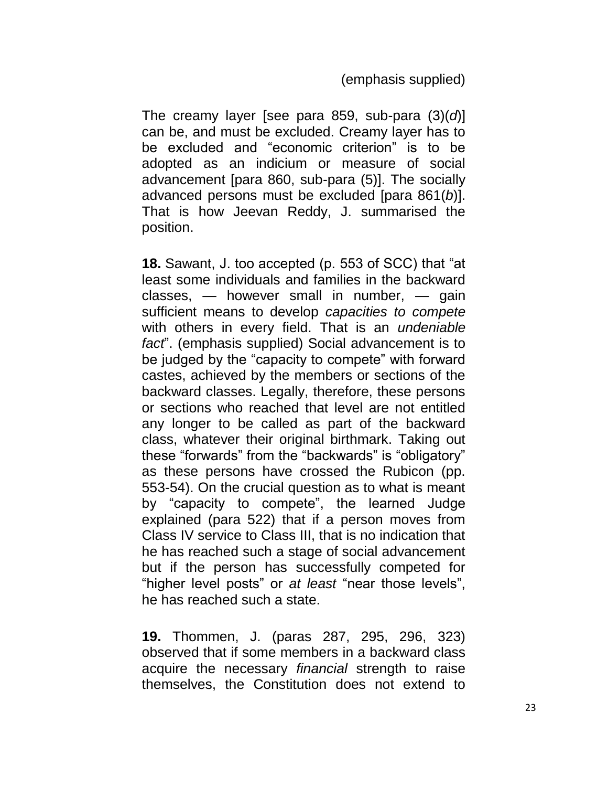(emphasis supplied)

The creamy layer [see para 859, sub-para (3)(*d*)] can be, and must be excluded. Creamy layer has to be excluded and "economic criterion" is to be adopted as an indicium or measure of social advancement [para 860, sub-para (5)]. The socially advanced persons must be excluded [para 861(*b*)]. That is how Jeevan Reddy, J. summarised the position.

**18.** Sawant, J. too accepted (p. 553 of SCC) that "at least some individuals and families in the backward classes, — however small in number, — gain sufficient means to develop *capacities to compete* with others in every field. That is an *undeniable fact*‖. (emphasis supplied) Social advancement is to be judged by the "capacity to compete" with forward castes, achieved by the members or sections of the backward classes. Legally, therefore, these persons or sections who reached that level are not entitled any longer to be called as part of the backward class, whatever their original birthmark. Taking out these "forwards" from the "backwards" is "obligatory" as these persons have crossed the Rubicon (pp. 553-54). On the crucial question as to what is meant by "capacity to compete", the learned Judge explained (para 522) that if a person moves from Class IV service to Class III, that is no indication that he has reached such a stage of social advancement but if the person has successfully competed for "higher level posts" or *at least* "near those levels", he has reached such a state.

**19.** Thommen, J. (paras 287, 295, 296, 323) observed that if some members in a backward class acquire the necessary *financial* strength to raise themselves, the Constitution does not extend to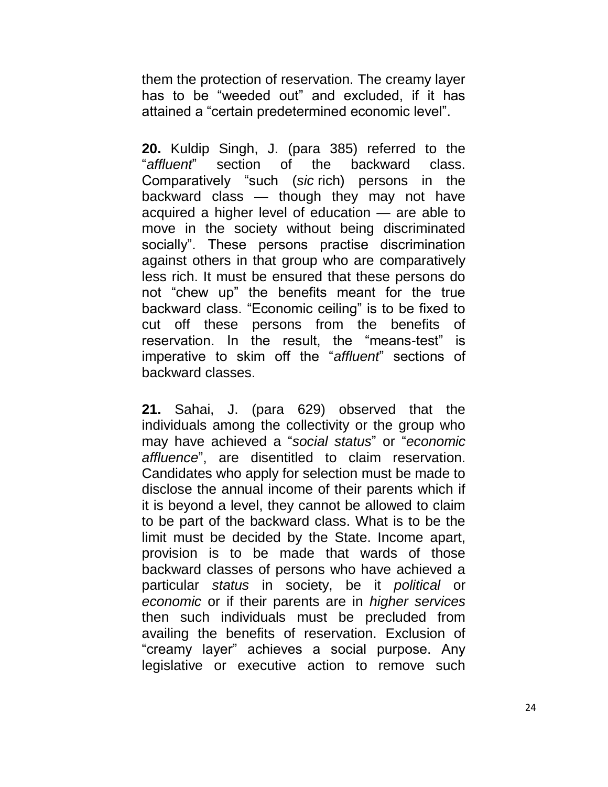them the protection of reservation. The creamy layer has to be "weeded out" and excluded, if it has attained a "certain predetermined economic level".

**20.** Kuldip Singh, J. (para 385) referred to the ―*affluent*‖ section of the backward class. Comparatively "such (sic rich) persons in the backward class — though they may not have acquired a higher level of education — are able to move in the society without being discriminated socially‖. These persons practise discrimination against others in that group who are comparatively less rich. It must be ensured that these persons do not "chew up" the benefits meant for the true backward class. "Economic ceiling" is to be fixed to cut off these persons from the benefits of reservation. In the result, the "means-test" is imperative to skim off the "affluent" sections of backward classes.

**21.** Sahai, J. (para 629) observed that the individuals among the collectivity or the group who may have achieved a ―*social status*‖ or ―*economic affluence*‖, are disentitled to claim reservation. Candidates who apply for selection must be made to disclose the annual income of their parents which if it is beyond a level, they cannot be allowed to claim to be part of the backward class. What is to be the limit must be decided by the State. Income apart, provision is to be made that wards of those backward classes of persons who have achieved a particular *status* in society, be it *political* or *economic* or if their parents are in *higher services* then such individuals must be precluded from availing the benefits of reservation. Exclusion of ―creamy layer‖ achieves a social purpose. Any legislative or executive action to remove such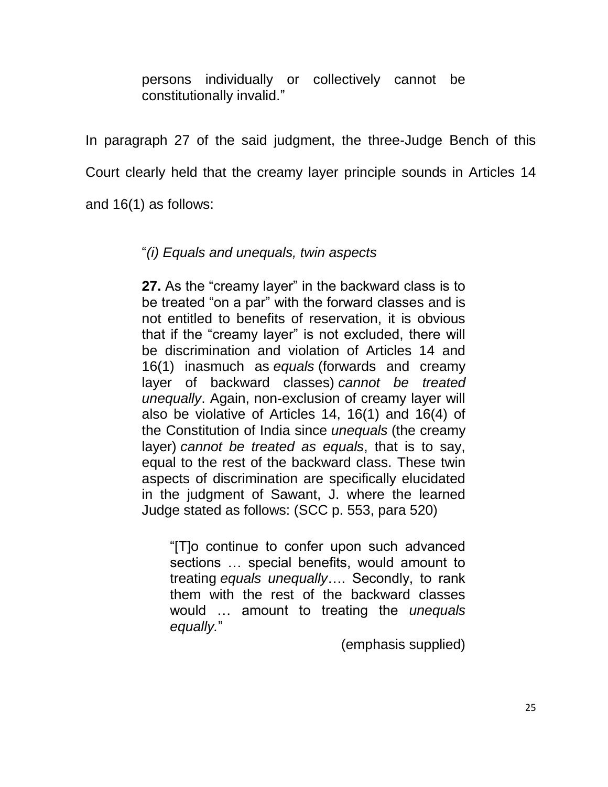persons individually or collectively cannot be constitutionally invalid."

In paragraph 27 of the said judgment, the three-Judge Bench of this Court clearly held that the creamy layer principle sounds in Articles 14 and 16(1) as follows:

―*(i) Equals and unequals, twin aspects*

**27.** As the "creamy layer" in the backward class is to be treated "on a par" with the forward classes and is not entitled to benefits of reservation, it is obvious that if the "creamy layer" is not excluded, there will be discrimination and violation of Articles 14 and 16(1) inasmuch as *equals* (forwards and creamy layer of backward classes) *cannot be treated unequally*. Again, non-exclusion of creamy layer will also be violative of Articles 14, 16(1) and 16(4) of the Constitution of India since *unequals* (the creamy layer) *cannot be treated as equals*, that is to say, equal to the rest of the backward class. These twin aspects of discrimination are specifically elucidated in the judgment of Sawant, J. where the learned Judge stated as follows: (SCC p. 553, para 520)

―[T]o continue to confer upon such advanced sections … special benefits, would amount to treating *equals unequally*…. Secondly, to rank them with the rest of the backward classes would … amount to treating the *unequals*  equally."

(emphasis supplied)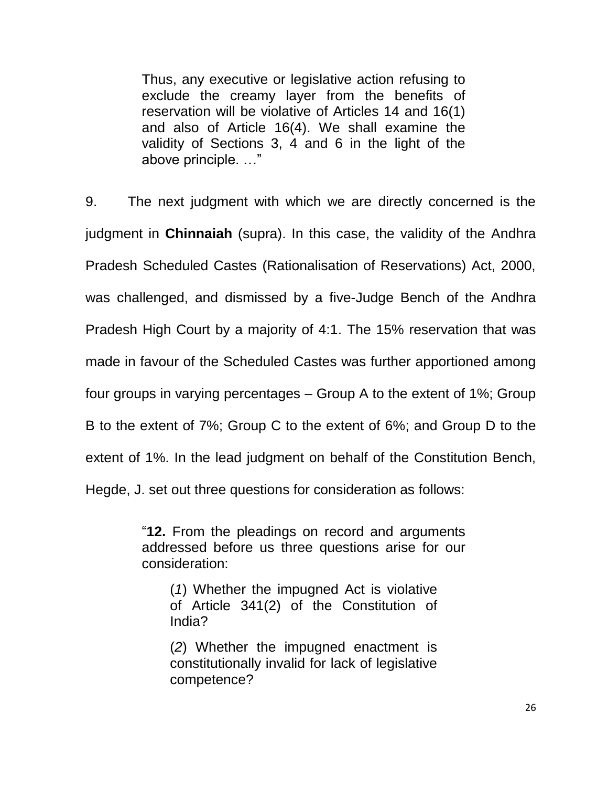Thus, any executive or legislative action refusing to exclude the creamy layer from the benefits of reservation will be violative of Articles 14 and 16(1) and also of Article 16(4). We shall examine the validity of Sections 3, 4 and 6 in the light of the above principle. ..."

9. The next judgment with which we are directly concerned is the judgment in **Chinnaiah** (supra). In this case, the validity of the Andhra Pradesh Scheduled Castes (Rationalisation of Reservations) Act, 2000, was challenged, and dismissed by a five-Judge Bench of the Andhra Pradesh High Court by a majority of 4:1. The 15% reservation that was made in favour of the Scheduled Castes was further apportioned among four groups in varying percentages – Group A to the extent of 1%; Group B to the extent of 7%; Group C to the extent of 6%; and Group D to the extent of 1%. In the lead judgment on behalf of the Constitution Bench, Hegde, J. set out three questions for consideration as follows:

> ―**12.** From the pleadings on record and arguments addressed before us three questions arise for our consideration:

(*1*) Whether the impugned Act is violative of Article 341(2) of the Constitution of India?

(*2*) Whether the impugned enactment is constitutionally invalid for lack of legislative competence?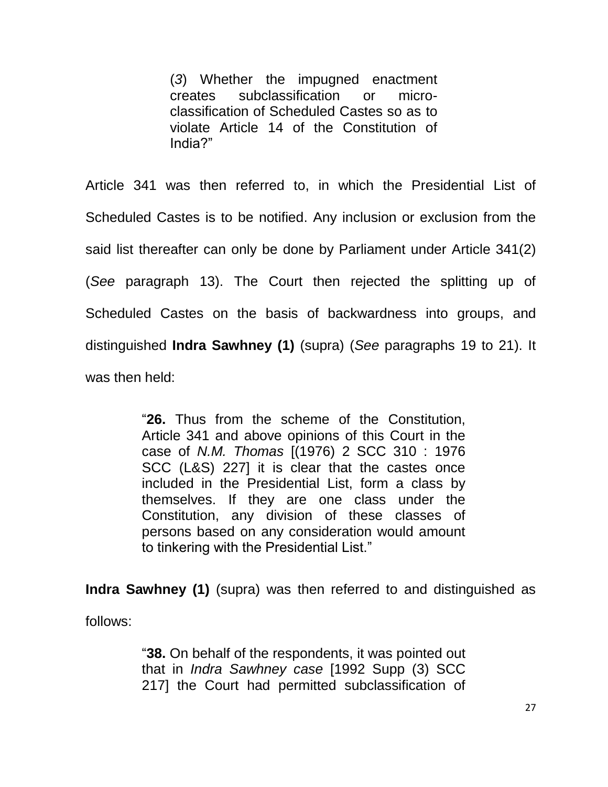(*3*) Whether the impugned enactment creates subclassification or microclassification of Scheduled Castes so as to violate Article 14 of the Constitution of India?‖

Article 341 was then referred to, in which the Presidential List of Scheduled Castes is to be notified. Any inclusion or exclusion from the said list thereafter can only be done by Parliament under Article 341(2) (*See* paragraph 13). The Court then rejected the splitting up of Scheduled Castes on the basis of backwardness into groups, and distinguished **Indra Sawhney (1)** (supra) (*See* paragraphs 19 to 21). It was then held:

> ―**26.** Thus from the scheme of the Constitution, Article 341 and above opinions of this Court in the case of *N.M. Thomas* [(1976) 2 SCC 310 : 1976 SCC (L&S) 227] it is clear that the castes once included in the Presidential List, form a class by themselves. If they are one class under the Constitution, any division of these classes of persons based on any consideration would amount to tinkering with the Presidential List."

**Indra Sawhney (1)** (supra) was then referred to and distinguished as follows:

> ―**38.** On behalf of the respondents, it was pointed out that in *Indra Sawhney case* [1992 Supp (3) SCC 217] the Court had permitted subclassification of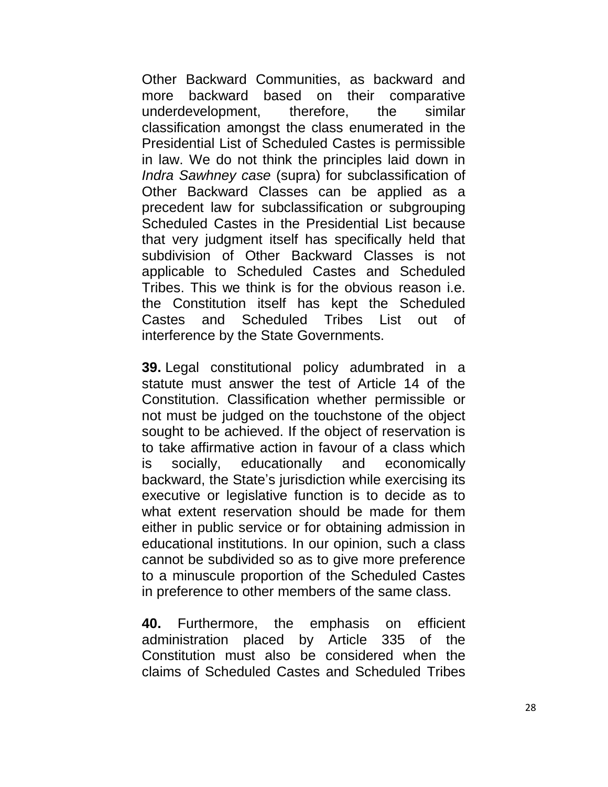Other Backward Communities, as backward and more backward based on their comparative underdevelopment, therefore, the similar classification amongst the class enumerated in the Presidential List of Scheduled Castes is permissible in law. We do not think the principles laid down in *Indra Sawhney case* (supra) for subclassification of Other Backward Classes can be applied as a precedent law for subclassification or subgrouping Scheduled Castes in the Presidential List because that very judgment itself has specifically held that subdivision of Other Backward Classes is not applicable to Scheduled Castes and Scheduled Tribes. This we think is for the obvious reason i.e. the Constitution itself has kept the Scheduled Castes and Scheduled Tribes List out of interference by the State Governments.

**39.** Legal constitutional policy adumbrated in a statute must answer the test of Article 14 of the Constitution. Classification whether permissible or not must be judged on the touchstone of the object sought to be achieved. If the object of reservation is to take affirmative action in favour of a class which is socially, educationally and economically backward, the State's jurisdiction while exercising its executive or legislative function is to decide as to what extent reservation should be made for them either in public service or for obtaining admission in educational institutions. In our opinion, such a class cannot be subdivided so as to give more preference to a minuscule proportion of the Scheduled Castes in preference to other members of the same class.

**40.** Furthermore, the emphasis on efficient administration placed by Article 335 of the Constitution must also be considered when the claims of Scheduled Castes and Scheduled Tribes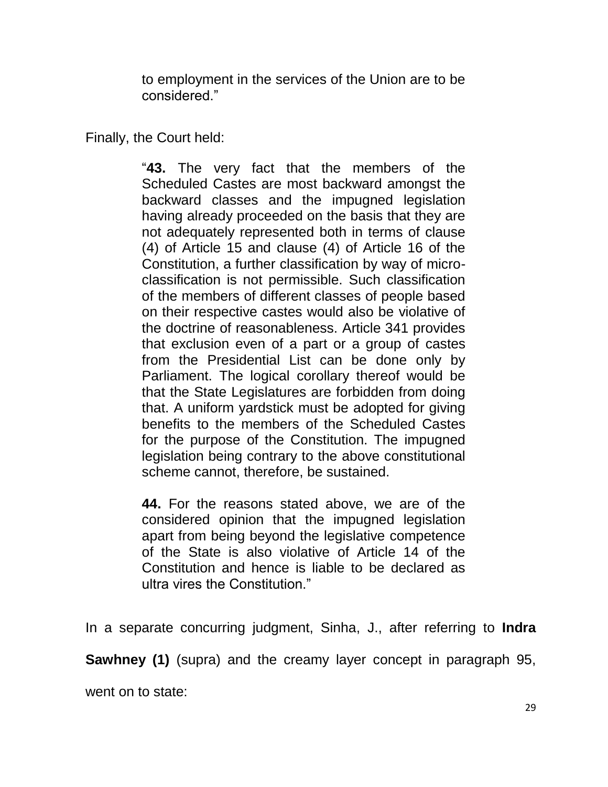to employment in the services of the Union are to be considered.‖

Finally, the Court held:

―**43.** The very fact that the members of the Scheduled Castes are most backward amongst the backward classes and the impugned legislation having already proceeded on the basis that they are not adequately represented both in terms of clause (4) of Article 15 and clause (4) of Article 16 of the Constitution, a further classification by way of microclassification is not permissible. Such classification of the members of different classes of people based on their respective castes would also be violative of the doctrine of reasonableness. Article 341 provides that exclusion even of a part or a group of castes from the Presidential List can be done only by Parliament. The logical corollary thereof would be that the State Legislatures are forbidden from doing that. A uniform yardstick must be adopted for giving benefits to the members of the Scheduled Castes for the purpose of the Constitution. The impugned legislation being contrary to the above constitutional scheme cannot, therefore, be sustained.

**44.** For the reasons stated above, we are of the considered opinion that the impugned legislation apart from being beyond the legislative competence of the State is also violative of Article 14 of the Constitution and hence is liable to be declared as ultra vires the Constitution."

In a separate concurring judgment, Sinha, J., after referring to **Indra** 

**Sawhney (1)** (supra) and the creamy layer concept in paragraph 95,

went on to state: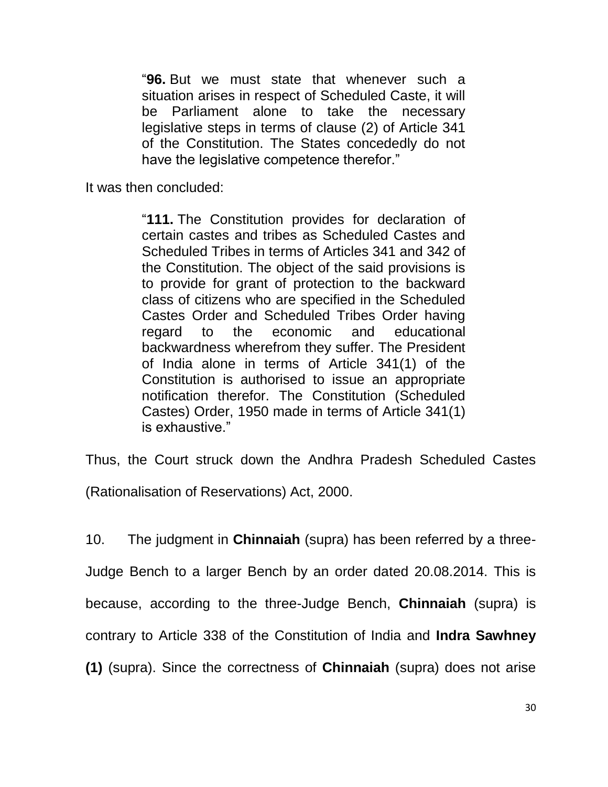―**96.** But we must state that whenever such a situation arises in respect of Scheduled Caste, it will be Parliament alone to take the necessary legislative steps in terms of clause (2) of Article 341 of the Constitution. The States concededly do not have the legislative competence therefor."

It was then concluded:

―**111.** The Constitution provides for declaration of certain castes and tribes as Scheduled Castes and Scheduled Tribes in terms of Articles 341 and 342 of the Constitution. The object of the said provisions is to provide for grant of protection to the backward class of citizens who are specified in the Scheduled Castes Order and Scheduled Tribes Order having regard to the economic and educational backwardness wherefrom they suffer. The President of India alone in terms of Article 341(1) of the Constitution is authorised to issue an appropriate notification therefor. The Constitution (Scheduled Castes) Order, 1950 made in terms of Article 341(1) is exhaustive."

Thus, the Court struck down the Andhra Pradesh Scheduled Castes

(Rationalisation of Reservations) Act, 2000.

10. The judgment in **Chinnaiah** (supra) has been referred by a three-Judge Bench to a larger Bench by an order dated 20.08.2014. This is because, according to the three-Judge Bench, **Chinnaiah** (supra) is contrary to Article 338 of the Constitution of India and **Indra Sawhney (1)** (supra). Since the correctness of **Chinnaiah** (supra) does not arise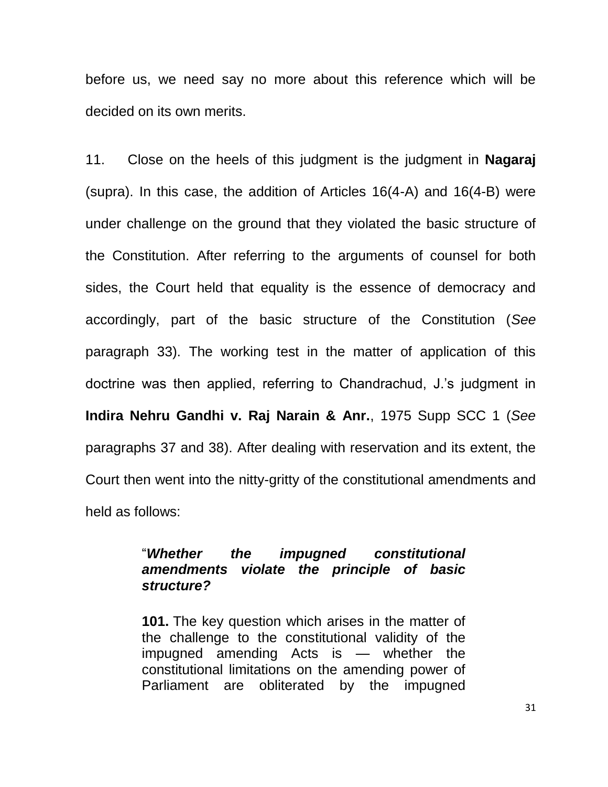before us, we need say no more about this reference which will be decided on its own merits.

11. Close on the heels of this judgment is the judgment in **Nagaraj** (supra). In this case, the addition of Articles 16(4-A) and 16(4-B) were under challenge on the ground that they violated the basic structure of the Constitution. After referring to the arguments of counsel for both sides, the Court held that equality is the essence of democracy and accordingly, part of the basic structure of the Constitution (*See* paragraph 33). The working test in the matter of application of this doctrine was then applied, referring to Chandrachud, J.'s judgment in **Indira Nehru Gandhi v. Raj Narain & Anr.**, 1975 Supp SCC 1 (*See* paragraphs 37 and 38). After dealing with reservation and its extent, the Court then went into the nitty-gritty of the constitutional amendments and held as follows:

### ―*Whether the impugned constitutional amendments violate the principle of basic structure?*

**101.** The key question which arises in the matter of the challenge to the constitutional validity of the impugned amending Acts is — whether the constitutional limitations on the amending power of Parliament are obliterated by the impugned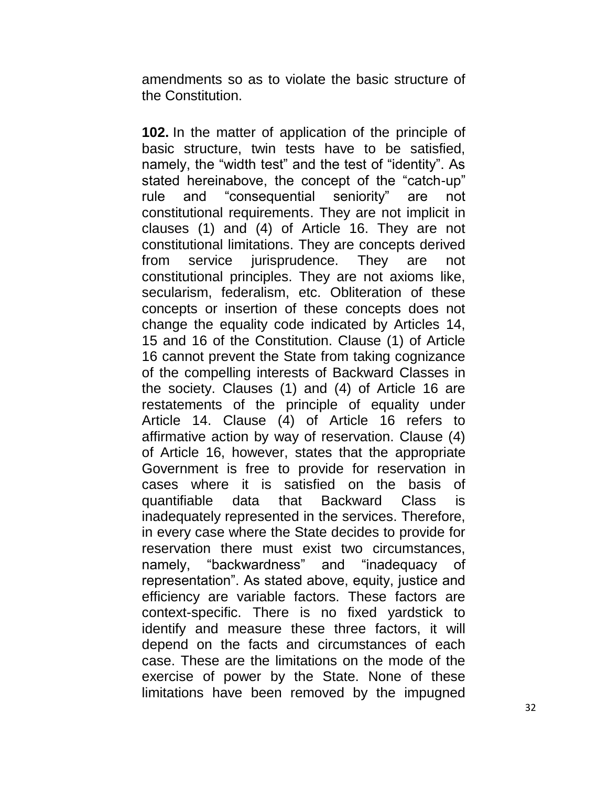amendments so as to violate the basic structure of the Constitution.

**102.** In the matter of application of the principle of basic structure, twin tests have to be satisfied, namely, the "width test" and the test of "identity". As stated hereinabove, the concept of the "catch-up" rule and "consequential seniority" are not constitutional requirements. They are not implicit in clauses (1) and (4) of Article 16. They are not constitutional limitations. They are concepts derived from service jurisprudence. They are not constitutional principles. They are not axioms like, secularism, federalism, etc. Obliteration of these concepts or insertion of these concepts does not change the equality code indicated by Articles 14, 15 and 16 of the Constitution. Clause (1) of Article 16 cannot prevent the State from taking cognizance of the compelling interests of Backward Classes in the society. Clauses (1) and (4) of Article 16 are restatements of the principle of equality under Article 14. Clause (4) of Article 16 refers to affirmative action by way of reservation. Clause (4) of Article 16, however, states that the appropriate Government is free to provide for reservation in cases where it is satisfied on the basis of quantifiable data that Backward Class is inadequately represented in the services. Therefore, in every case where the State decides to provide for reservation there must exist two circumstances, namely, "backwardness" and "inadequacy of representation". As stated above, equity, justice and efficiency are variable factors. These factors are context-specific. There is no fixed yardstick to identify and measure these three factors, it will depend on the facts and circumstances of each case. These are the limitations on the mode of the exercise of power by the State. None of these limitations have been removed by the impugned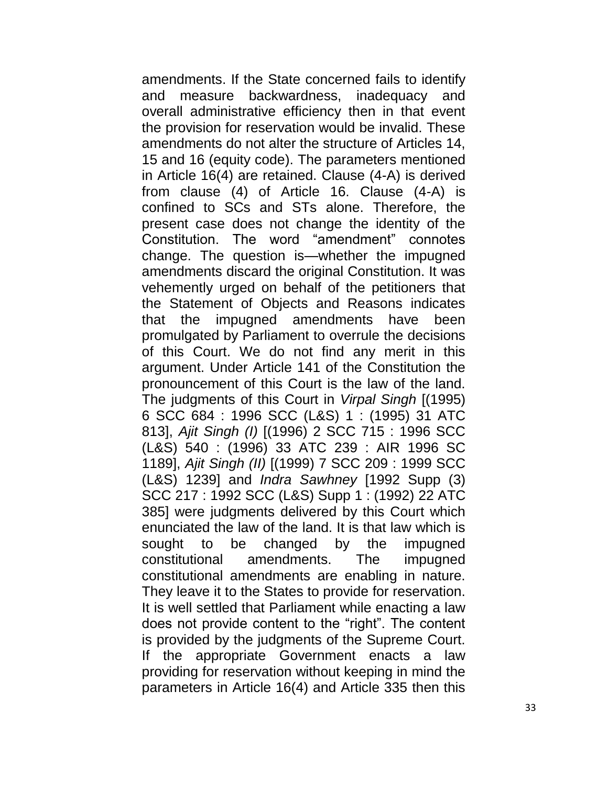amendments. If the State concerned fails to identify and measure backwardness, inadequacy and overall administrative efficiency then in that event the provision for reservation would be invalid. These amendments do not alter the structure of Articles 14, 15 and 16 (equity code). The parameters mentioned in Article 16(4) are retained. Clause (4-A) is derived from clause (4) of Article 16. Clause (4-A) is confined to SCs and STs alone. Therefore, the present case does not change the identity of the Constitution. The word "amendment" connotes change. The question is—whether the impugned amendments discard the original Constitution. It was vehemently urged on behalf of the petitioners that the Statement of Objects and Reasons indicates that the impugned amendments have been promulgated by Parliament to overrule the decisions of this Court. We do not find any merit in this argument. Under Article 141 of the Constitution the pronouncement of this Court is the law of the land. The judgments of this Court in *Virpal Singh* [(1995) 6 SCC 684 : 1996 SCC (L&S) 1 : (1995) 31 ATC 813], *Ajit Singh (I)* [(1996) 2 SCC 715 : 1996 SCC (L&S) 540 : (1996) 33 ATC 239 : AIR 1996 SC 1189], *Ajit Singh (II)* [(1999) 7 SCC 209 : 1999 SCC (L&S) 1239] and *Indra Sawhney* [1992 Supp (3) SCC 217 : 1992 SCC (L&S) Supp 1 : (1992) 22 ATC 385] were judgments delivered by this Court which enunciated the law of the land. It is that law which is sought to be changed by the impugned constitutional amendments. The impugned constitutional amendments are enabling in nature. They leave it to the States to provide for reservation. It is well settled that Parliament while enacting a law does not provide content to the "right". The content is provided by the judgments of the Supreme Court. If the appropriate Government enacts a law providing for reservation without keeping in mind the parameters in Article 16(4) and Article 335 then this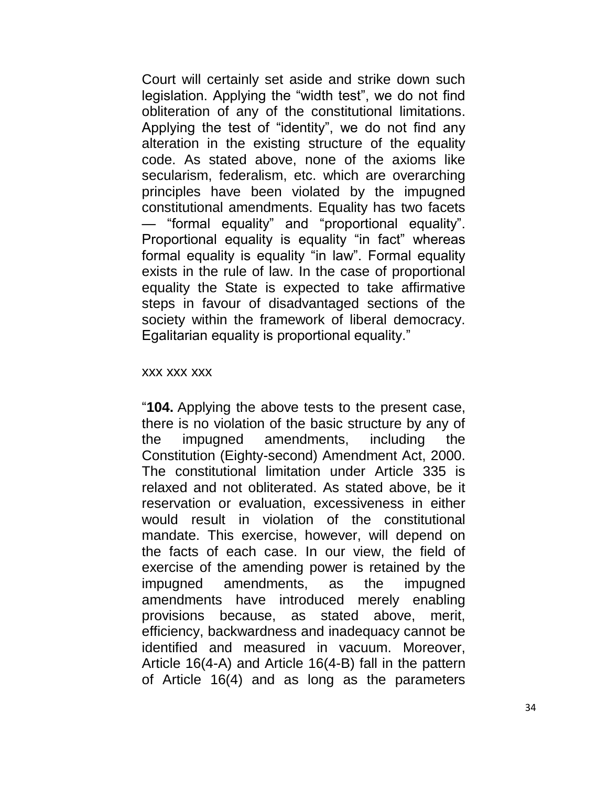Court will certainly set aside and strike down such legislation. Applying the "width test", we do not find obliteration of any of the constitutional limitations. Applying the test of "identity", we do not find any alteration in the existing structure of the equality code. As stated above, none of the axioms like secularism, federalism, etc. which are overarching principles have been violated by the impugned constitutional amendments. Equality has two facets — "formal equality" and "proportional equality". Proportional equality is equality "in fact" whereas formal equality is equality "in law". Formal equality exists in the rule of law. In the case of proportional equality the State is expected to take affirmative steps in favour of disadvantaged sections of the society within the framework of liberal democracy. Egalitarian equality is proportional equality."

#### xxx xxx xxx

―**104.** Applying the above tests to the present case, there is no violation of the basic structure by any of the impugned amendments, including the Constitution (Eighty-second) Amendment Act, 2000. The constitutional limitation under Article 335 is relaxed and not obliterated. As stated above, be it reservation or evaluation, excessiveness in either would result in violation of the constitutional mandate. This exercise, however, will depend on the facts of each case. In our view, the field of exercise of the amending power is retained by the impugned amendments, as the impugned amendments have introduced merely enabling provisions because, as stated above, merit, efficiency, backwardness and inadequacy cannot be identified and measured in vacuum. Moreover, Article 16(4-A) and Article 16(4-B) fall in the pattern of Article 16(4) and as long as the parameters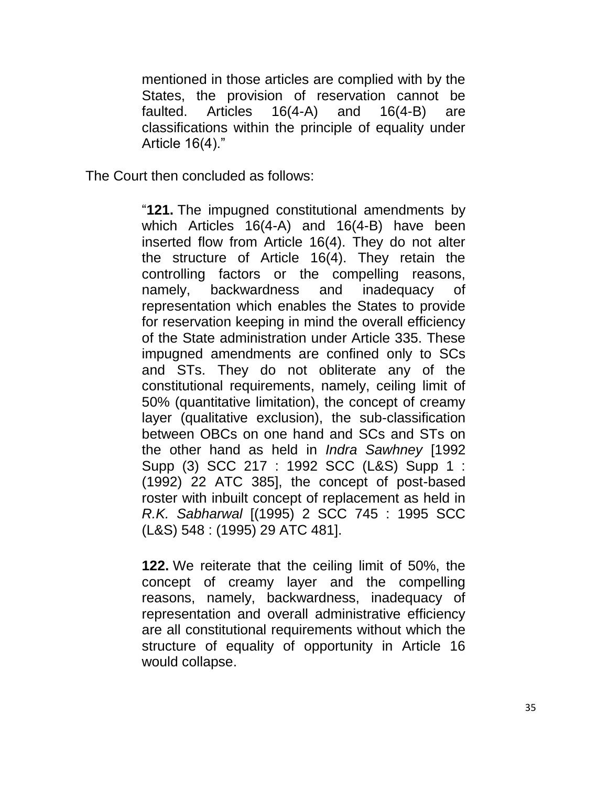mentioned in those articles are complied with by the States, the provision of reservation cannot be faulted. Articles 16(4-A) and 16(4-B) are classifications within the principle of equality under Article  $16(4)$ ."

The Court then concluded as follows:

―**121.** The impugned constitutional amendments by which Articles 16(4-A) and 16(4-B) have been inserted flow from Article 16(4). They do not alter the structure of Article 16(4). They retain the controlling factors or the compelling reasons, namely, backwardness and inadequacy of representation which enables the States to provide for reservation keeping in mind the overall efficiency of the State administration under Article 335. These impugned amendments are confined only to SCs and STs. They do not obliterate any of the constitutional requirements, namely, ceiling limit of 50% (quantitative limitation), the concept of creamy layer (qualitative exclusion), the sub-classification between OBCs on one hand and SCs and STs on the other hand as held in *Indra Sawhney* [1992 Supp (3) SCC 217 : 1992 SCC (L&S) Supp 1 : (1992) 22 ATC 385], the concept of post-based roster with inbuilt concept of replacement as held in *R.K. Sabharwal* [(1995) 2 SCC 745 : 1995 SCC (L&S) 548 : (1995) 29 ATC 481].

**122.** We reiterate that the ceiling limit of 50%, the concept of creamy layer and the compelling reasons, namely, backwardness, inadequacy of representation and overall administrative efficiency are all constitutional requirements without which the structure of equality of opportunity in Article 16 would collapse.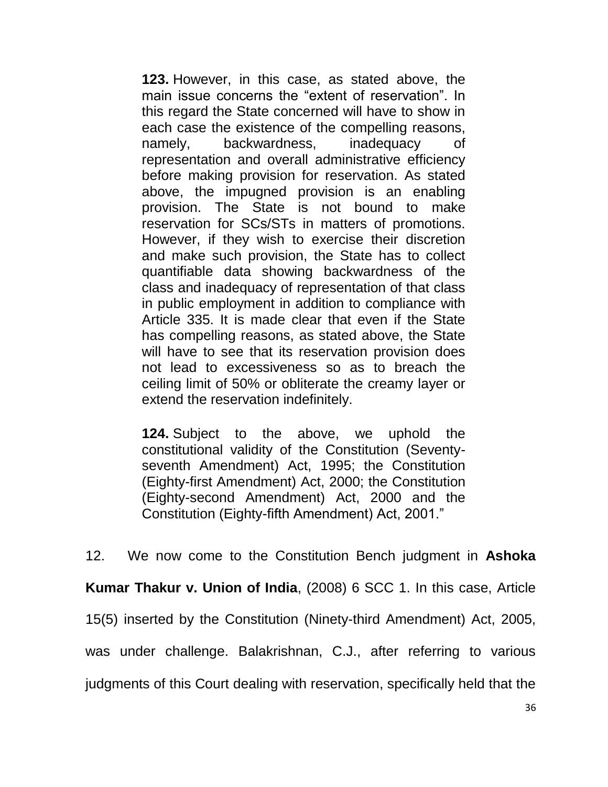**123.** However, in this case, as stated above, the main issue concerns the "extent of reservation". In this regard the State concerned will have to show in each case the existence of the compelling reasons, namely, backwardness, inadequacy of representation and overall administrative efficiency before making provision for reservation. As stated above, the impugned provision is an enabling provision. The State is not bound to make reservation for SCs/STs in matters of promotions. However, if they wish to exercise their discretion and make such provision, the State has to collect quantifiable data showing backwardness of the class and inadequacy of representation of that class in public employment in addition to compliance with Article 335. It is made clear that even if the State has compelling reasons, as stated above, the State will have to see that its reservation provision does not lead to excessiveness so as to breach the ceiling limit of 50% or obliterate the creamy layer or extend the reservation indefinitely.

**124.** Subject to the above, we uphold the constitutional validity of the Constitution (Seventyseventh Amendment) Act, 1995; the Constitution (Eighty-first Amendment) Act, 2000; the Constitution (Eighty-second Amendment) Act, 2000 and the Constitution (Eighty-fifth Amendment) Act, 2001."

12. We now come to the Constitution Bench judgment in **Ashoka Kumar Thakur v. Union of India**, (2008) 6 SCC 1. In this case, Article 15(5) inserted by the Constitution (Ninety-third Amendment) Act, 2005, was under challenge. Balakrishnan, C.J., after referring to various judgments of this Court dealing with reservation, specifically held that the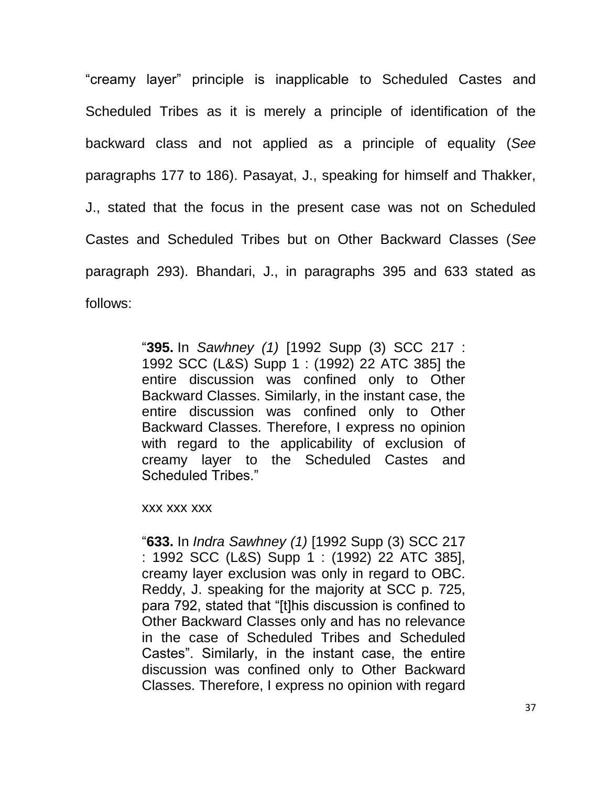―creamy layer‖ principle is inapplicable to Scheduled Castes and Scheduled Tribes as it is merely a principle of identification of the backward class and not applied as a principle of equality (*See* paragraphs 177 to 186). Pasayat, J., speaking for himself and Thakker, J., stated that the focus in the present case was not on Scheduled Castes and Scheduled Tribes but on Other Backward Classes (*See* paragraph 293). Bhandari, J., in paragraphs 395 and 633 stated as follows:

> ―**395.** In *Sawhney (1)* [1992 Supp (3) SCC 217 : 1992 SCC (L&S) Supp 1 : (1992) 22 ATC 385] the entire discussion was confined only to Other Backward Classes. Similarly, in the instant case, the entire discussion was confined only to Other Backward Classes. Therefore, I express no opinion with regard to the applicability of exclusion of creamy layer to the Scheduled Castes and Scheduled Tribes."

xxx xxx xxx

―**633.** In *Indra Sawhney (1)* [1992 Supp (3) SCC 217 : 1992 SCC (L&S) Supp 1 : (1992) 22 ATC 385], creamy layer exclusion was only in regard to OBC. Reddy, J. speaking for the majority at SCC p. 725, para 792, stated that "[t]his discussion is confined to Other Backward Classes only and has no relevance in the case of Scheduled Tribes and Scheduled Castes". Similarly, in the instant case, the entire discussion was confined only to Other Backward Classes. Therefore, I express no opinion with regard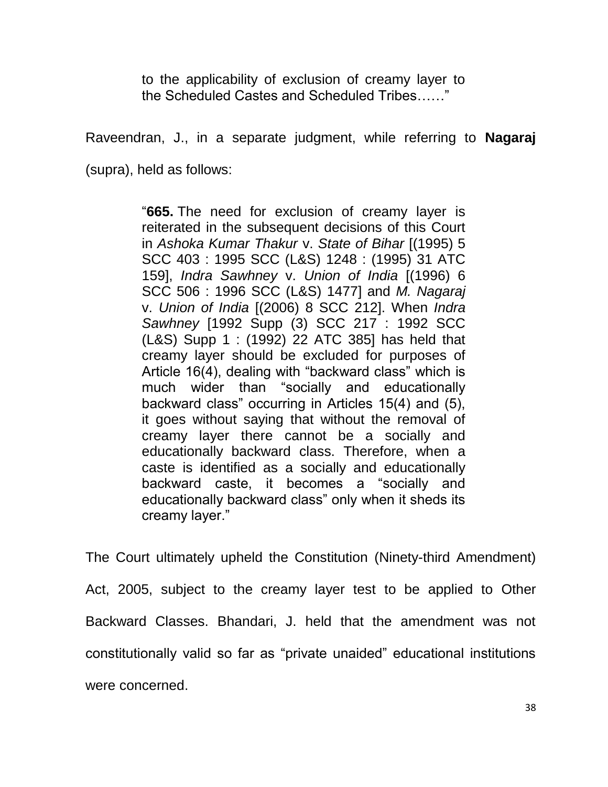to the applicability of exclusion of creamy layer to the Scheduled Castes and Scheduled Tribes......"

Raveendran, J., in a separate judgment, while referring to **Nagaraj** 

(supra), held as follows:

―**665.** The need for exclusion of creamy layer is reiterated in the subsequent decisions of this Court in *Ashoka Kumar Thakur* v. *State of Bihar* [(1995) 5 SCC 403 : 1995 SCC (L&S) 1248 : (1995) 31 ATC 159], *Indra Sawhney* v. *Union of India* [(1996) 6 SCC 506 : 1996 SCC (L&S) 1477] and *M. Nagaraj*  v. *Union of India* [(2006) 8 SCC 212]. When *Indra Sawhney* [1992 Supp (3) SCC 217 : 1992 SCC (L&S) Supp 1 : (1992) 22 ATC 385] has held that creamy layer should be excluded for purposes of Article 16(4), dealing with "backward class" which is much wider than "socially and educationally backward class" occurring in Articles 15(4) and (5), it goes without saying that without the removal of creamy layer there cannot be a socially and educationally backward class. Therefore, when a caste is identified as a socially and educationally backward caste, it becomes a "socially and educationally backward class" only when it sheds its creamy layer."

The Court ultimately upheld the Constitution (Ninety-third Amendment) Act, 2005, subject to the creamy layer test to be applied to Other Backward Classes. Bhandari, J. held that the amendment was not constitutionally valid so far as "private unaided" educational institutions were concerned.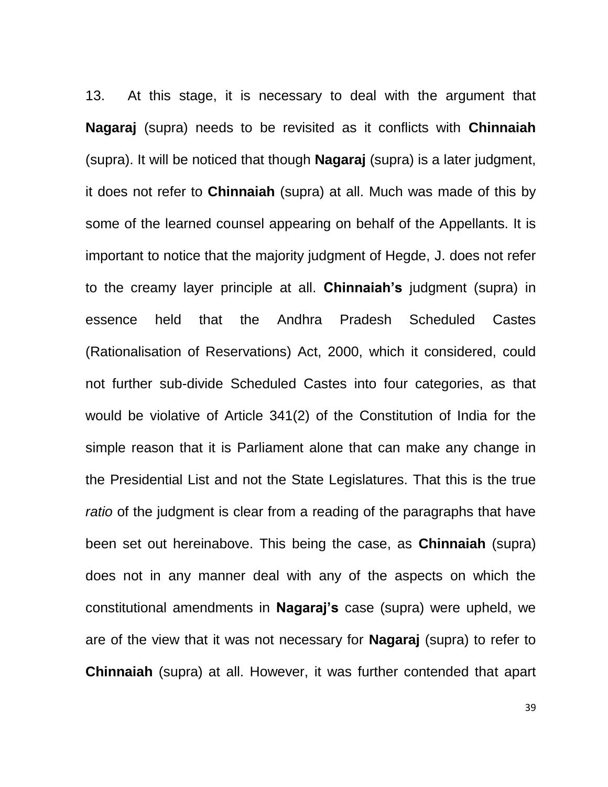13. At this stage, it is necessary to deal with the argument that **Nagaraj** (supra) needs to be revisited as it conflicts with **Chinnaiah**  (supra). It will be noticed that though **Nagaraj** (supra) is a later judgment, it does not refer to **Chinnaiah** (supra) at all. Much was made of this by some of the learned counsel appearing on behalf of the Appellants. It is important to notice that the majority judgment of Hegde, J. does not refer to the creamy layer principle at all. **Chinnaiah's** judgment (supra) in essence held that the Andhra Pradesh Scheduled Castes (Rationalisation of Reservations) Act, 2000, which it considered, could not further sub-divide Scheduled Castes into four categories, as that would be violative of Article 341(2) of the Constitution of India for the simple reason that it is Parliament alone that can make any change in the Presidential List and not the State Legislatures. That this is the true *ratio* of the judgment is clear from a reading of the paragraphs that have been set out hereinabove. This being the case, as **Chinnaiah** (supra) does not in any manner deal with any of the aspects on which the constitutional amendments in **Nagaraj's** case (supra) were upheld, we are of the view that it was not necessary for **Nagaraj** (supra) to refer to **Chinnaiah** (supra) at all. However, it was further contended that apart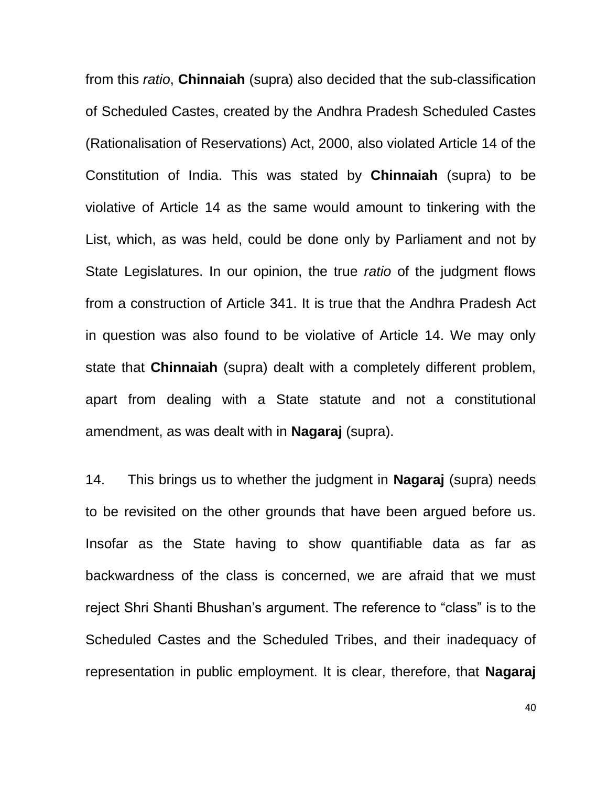from this *ratio*, **Chinnaiah** (supra) also decided that the sub-classification of Scheduled Castes, created by the Andhra Pradesh Scheduled Castes (Rationalisation of Reservations) Act, 2000, also violated Article 14 of the Constitution of India. This was stated by **Chinnaiah** (supra) to be violative of Article 14 as the same would amount to tinkering with the List, which, as was held, could be done only by Parliament and not by State Legislatures. In our opinion, the true *ratio* of the judgment flows from a construction of Article 341. It is true that the Andhra Pradesh Act in question was also found to be violative of Article 14. We may only state that **Chinnaiah** (supra) dealt with a completely different problem, apart from dealing with a State statute and not a constitutional amendment, as was dealt with in **Nagaraj** (supra).

14. This brings us to whether the judgment in **Nagaraj** (supra) needs to be revisited on the other grounds that have been argued before us. Insofar as the State having to show quantifiable data as far as backwardness of the class is concerned, we are afraid that we must reject Shri Shanti Bhushan's argument. The reference to "class" is to the Scheduled Castes and the Scheduled Tribes, and their inadequacy of representation in public employment. It is clear, therefore, that **Nagaraj**

40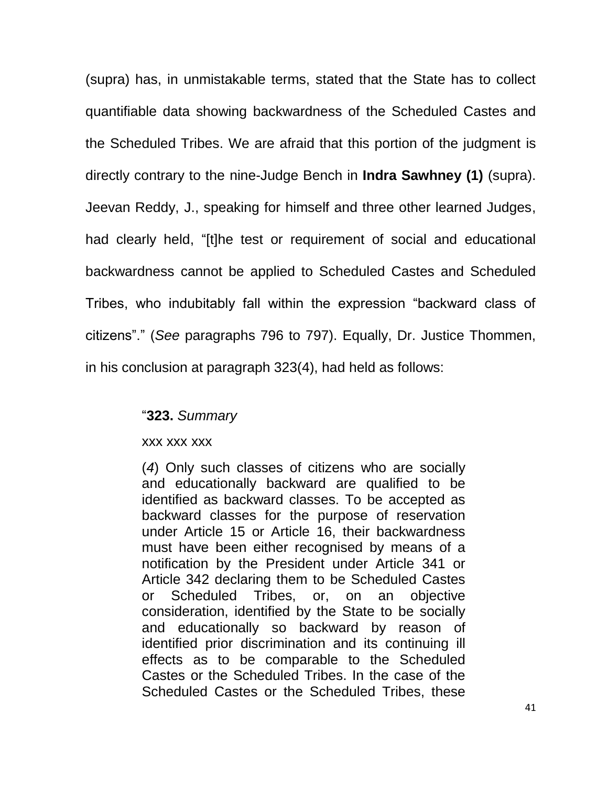(supra) has, in unmistakable terms, stated that the State has to collect quantifiable data showing backwardness of the Scheduled Castes and the Scheduled Tribes. We are afraid that this portion of the judgment is directly contrary to the nine-Judge Bench in **Indra Sawhney (1)** (supra). Jeevan Reddy, J., speaking for himself and three other learned Judges, had clearly held, "[t]he test or requirement of social and educational backwardness cannot be applied to Scheduled Castes and Scheduled Tribes, who indubitably fall within the expression "backward class of citizens‖.‖ (*See* paragraphs 796 to 797). Equally, Dr. Justice Thommen, in his conclusion at paragraph 323(4), had held as follows:

#### ―**323.** *Summary*

#### xxx xxx xxx

(*4*) Only such classes of citizens who are socially and educationally backward are qualified to be identified as backward classes. To be accepted as backward classes for the purpose of reservation under Article 15 or Article 16, their backwardness must have been either recognised by means of a notification by the President under Article 341 or Article 342 declaring them to be Scheduled Castes or Scheduled Tribes, or, on an objective consideration, identified by the State to be socially and educationally so backward by reason of identified prior discrimination and its continuing ill effects as to be comparable to the Scheduled Castes or the Scheduled Tribes. In the case of the Scheduled Castes or the Scheduled Tribes, these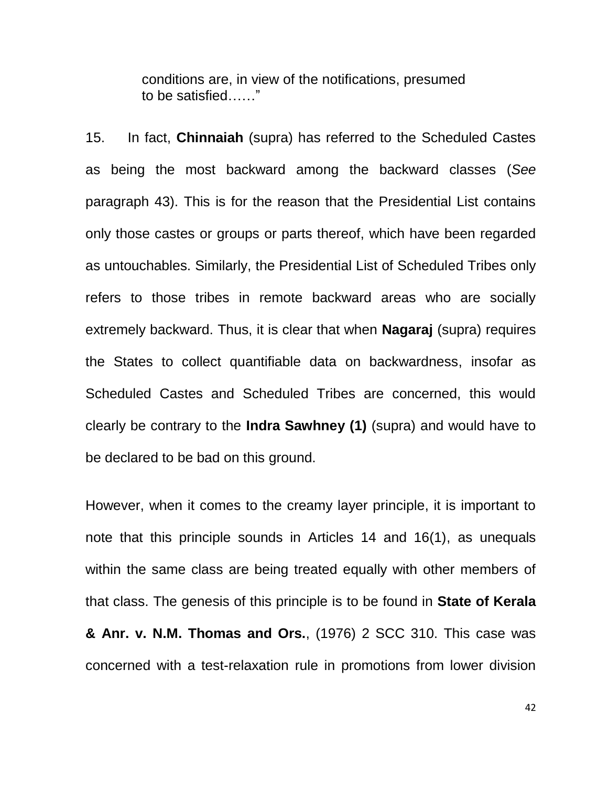conditions are, in view of the notifications, presumed to be satisfied……"

15. In fact, **Chinnaiah** (supra) has referred to the Scheduled Castes as being the most backward among the backward classes (*See* paragraph 43). This is for the reason that the Presidential List contains only those castes or groups or parts thereof, which have been regarded as untouchables. Similarly, the Presidential List of Scheduled Tribes only refers to those tribes in remote backward areas who are socially extremely backward. Thus, it is clear that when **Nagaraj** (supra) requires the States to collect quantifiable data on backwardness, insofar as Scheduled Castes and Scheduled Tribes are concerned, this would clearly be contrary to the **Indra Sawhney (1)** (supra) and would have to be declared to be bad on this ground.

However, when it comes to the creamy layer principle, it is important to note that this principle sounds in Articles 14 and 16(1), as unequals within the same class are being treated equally with other members of that class. The genesis of this principle is to be found in **State of Kerala & Anr. v. N.M. Thomas and Ors.**, (1976) 2 SCC 310. This case was concerned with a test-relaxation rule in promotions from lower division

42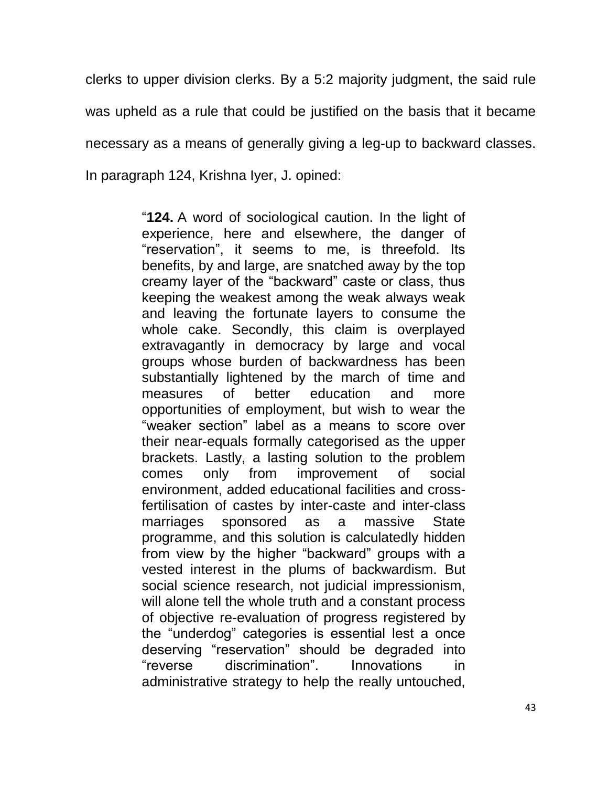clerks to upper division clerks. By a 5:2 majority judgment, the said rule was upheld as a rule that could be justified on the basis that it became necessary as a means of generally giving a leg-up to backward classes. In paragraph 124, Krishna Iyer, J. opined:

> ―**124.** A word of sociological caution. In the light of experience, here and elsewhere, the danger of "reservation", it seems to me, is threefold. Its benefits, by and large, are snatched away by the top creamy layer of the "backward" caste or class, thus keeping the weakest among the weak always weak and leaving the fortunate layers to consume the whole cake. Secondly, this claim is overplayed extravagantly in democracy by large and vocal groups whose burden of backwardness has been substantially lightened by the march of time and measures of better education and more opportunities of employment, but wish to wear the "weaker section" label as a means to score over their near-equals formally categorised as the upper brackets. Lastly, a lasting solution to the problem comes only from improvement of social environment, added educational facilities and crossfertilisation of castes by inter-caste and inter-class marriages sponsored as a massive State programme, and this solution is calculatedly hidden from view by the higher "backward" groups with a vested interest in the plums of backwardism. But social science research, not judicial impressionism, will alone tell the whole truth and a constant process of objective re-evaluation of progress registered by the "underdog" categories is essential lest a once deserving "reservation" should be degraded into ―reverse discrimination‖. Innovations in administrative strategy to help the really untouched,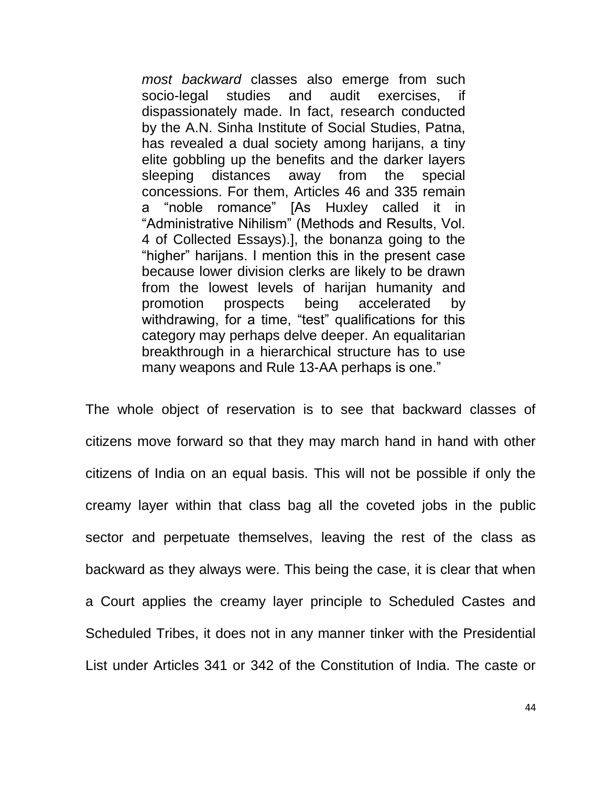*most backward* classes also emerge from such socio-legal studies and audit exercises, if dispassionately made. In fact, research conducted by the A.N. Sinha Institute of Social Studies, Patna, has revealed a dual society among harijans, a tiny elite gobbling up the benefits and the darker layers sleeping distances away from the special concessions. For them, Articles 46 and 335 remain a "noble romance" [As Huxley called it in "Administrative Nihilism" (Methods and Results, Vol. 4 of Collected Essays).], the bonanza going to the "higher" harijans. I mention this in the present case because lower division clerks are likely to be drawn from the lowest levels of harijan humanity and promotion prospects being accelerated by withdrawing, for a time, "test" qualifications for this category may perhaps delve deeper. An equalitarian breakthrough in a hierarchical structure has to use many weapons and Rule 13-AA perhaps is one."

The whole object of reservation is to see that backward classes of citizens move forward so that they may march hand in hand with other citizens of India on an equal basis. This will not be possible if only the creamy layer within that class bag all the coveted jobs in the public sector and perpetuate themselves, leaving the rest of the class as backward as they always were. This being the case, it is clear that when a Court applies the creamy layer principle to Scheduled Castes and Scheduled Tribes, it does not in any manner tinker with the Presidential List under Articles 341 or 342 of the Constitution of India. The caste or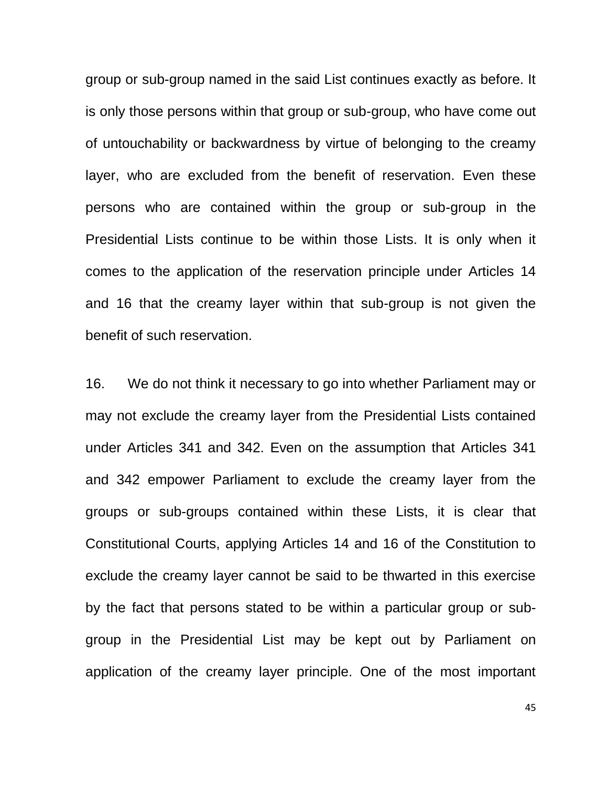group or sub-group named in the said List continues exactly as before. It is only those persons within that group or sub-group, who have come out of untouchability or backwardness by virtue of belonging to the creamy layer, who are excluded from the benefit of reservation. Even these persons who are contained within the group or sub-group in the Presidential Lists continue to be within those Lists. It is only when it comes to the application of the reservation principle under Articles 14 and 16 that the creamy layer within that sub-group is not given the benefit of such reservation.

16. We do not think it necessary to go into whether Parliament may or may not exclude the creamy layer from the Presidential Lists contained under Articles 341 and 342. Even on the assumption that Articles 341 and 342 empower Parliament to exclude the creamy layer from the groups or sub-groups contained within these Lists, it is clear that Constitutional Courts, applying Articles 14 and 16 of the Constitution to exclude the creamy layer cannot be said to be thwarted in this exercise by the fact that persons stated to be within a particular group or subgroup in the Presidential List may be kept out by Parliament on application of the creamy layer principle. One of the most important

45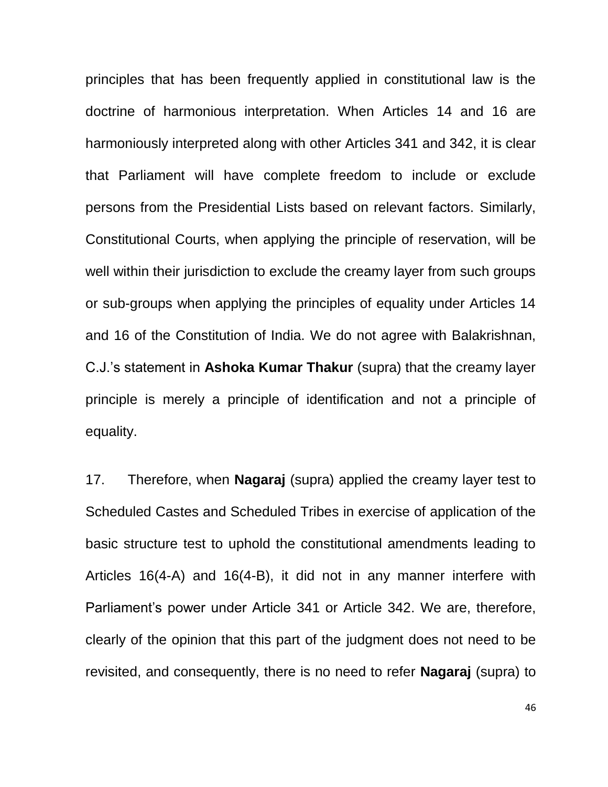principles that has been frequently applied in constitutional law is the doctrine of harmonious interpretation. When Articles 14 and 16 are harmoniously interpreted along with other Articles 341 and 342, it is clear that Parliament will have complete freedom to include or exclude persons from the Presidential Lists based on relevant factors. Similarly, Constitutional Courts, when applying the principle of reservation, will be well within their jurisdiction to exclude the creamy layer from such groups or sub-groups when applying the principles of equality under Articles 14 and 16 of the Constitution of India. We do not agree with Balakrishnan, C.J.'s statement in **Ashoka Kumar Thakur** (supra) that the creamy layer principle is merely a principle of identification and not a principle of equality.

17. Therefore, when **Nagaraj** (supra) applied the creamy layer test to Scheduled Castes and Scheduled Tribes in exercise of application of the basic structure test to uphold the constitutional amendments leading to Articles 16(4-A) and 16(4-B), it did not in any manner interfere with Parliament's power under Article 341 or Article 342. We are, therefore, clearly of the opinion that this part of the judgment does not need to be revisited, and consequently, there is no need to refer **Nagaraj** (supra) to

46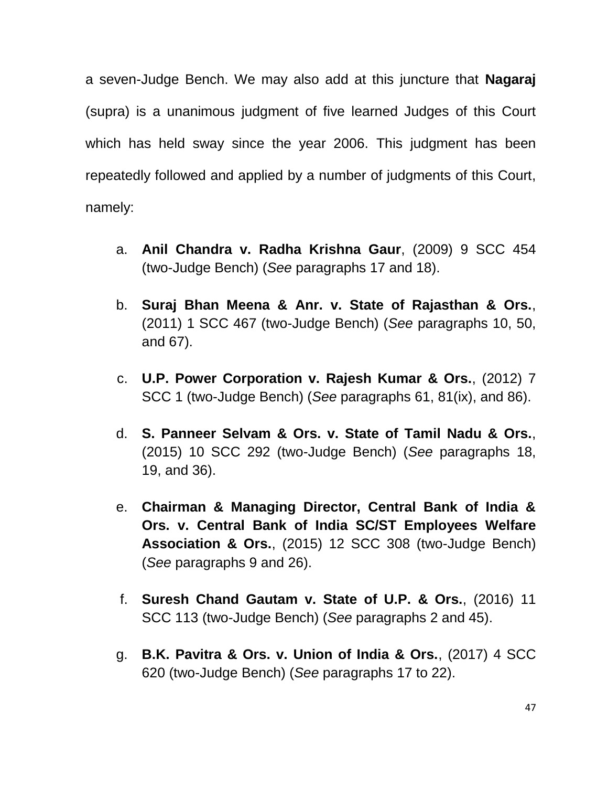a seven-Judge Bench. We may also add at this juncture that **Nagaraj** (supra) is a unanimous judgment of five learned Judges of this Court which has held sway since the year 2006. This judgment has been repeatedly followed and applied by a number of judgments of this Court, namely:

- a. **Anil Chandra v. Radha Krishna Gaur**, (2009) 9 SCC 454 (two-Judge Bench) (*See* paragraphs 17 and 18).
- b. **Suraj Bhan Meena & Anr. v. State of Rajasthan & Ors.**, (2011) 1 SCC 467 (two-Judge Bench) (*See* paragraphs 10, 50, and 67).
- c. **U.P. Power Corporation v. Rajesh Kumar & Ors.**, (2012) 7 SCC 1 (two-Judge Bench) (*See* paragraphs 61, 81(ix), and 86).
- d. **S. Panneer Selvam & Ors. v. State of Tamil Nadu & Ors.**, (2015) 10 SCC 292 (two-Judge Bench) (*See* paragraphs 18, 19, and 36).
- e. **Chairman & Managing Director, Central Bank of India & Ors. v. Central Bank of India SC/ST Employees Welfare Association & Ors.**, (2015) 12 SCC 308 (two-Judge Bench) (*See* paragraphs 9 and 26).
- f. **Suresh Chand Gautam v. State of U.P. & Ors.**, (2016) 11 SCC 113 (two-Judge Bench) (*See* paragraphs 2 and 45).
- g. **B.K. Pavitra & Ors. v. Union of India & Ors.**, (2017) 4 SCC 620 (two-Judge Bench) (*See* paragraphs 17 to 22).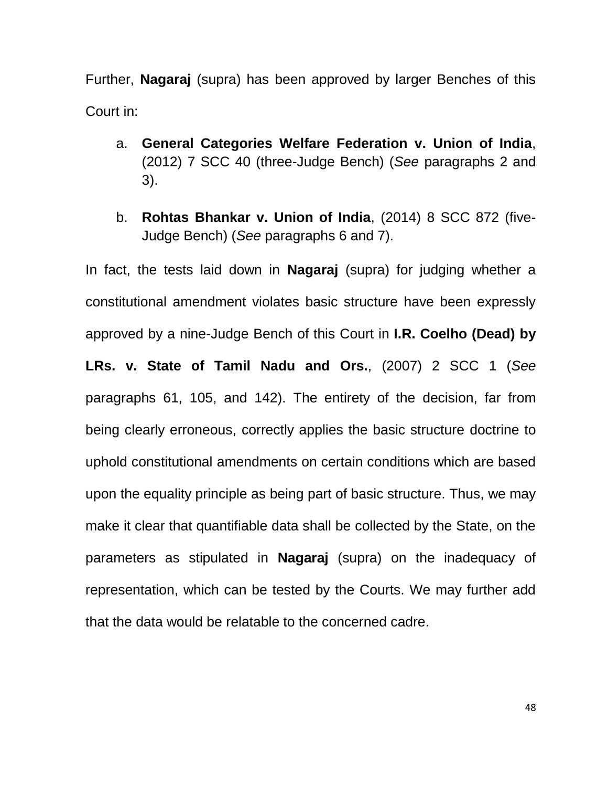Further, **Nagaraj** (supra) has been approved by larger Benches of this Court in:

- a. **General Categories Welfare Federation v. Union of India**, (2012) 7 SCC 40 (three-Judge Bench) (*See* paragraphs 2 and 3).
- b. **Rohtas Bhankar v. Union of India**, (2014) 8 SCC 872 (five-Judge Bench) (*See* paragraphs 6 and 7).

In fact, the tests laid down in **Nagaraj** (supra) for judging whether a constitutional amendment violates basic structure have been expressly approved by a nine-Judge Bench of this Court in **I.R. Coelho (Dead) by LRs. v. State of Tamil Nadu and Ors.**, (2007) 2 SCC 1 (*See* paragraphs 61, 105, and 142). The entirety of the decision, far from being clearly erroneous, correctly applies the basic structure doctrine to uphold constitutional amendments on certain conditions which are based upon the equality principle as being part of basic structure. Thus, we may make it clear that quantifiable data shall be collected by the State, on the parameters as stipulated in **Nagaraj** (supra) on the inadequacy of representation, which can be tested by the Courts. We may further add that the data would be relatable to the concerned cadre.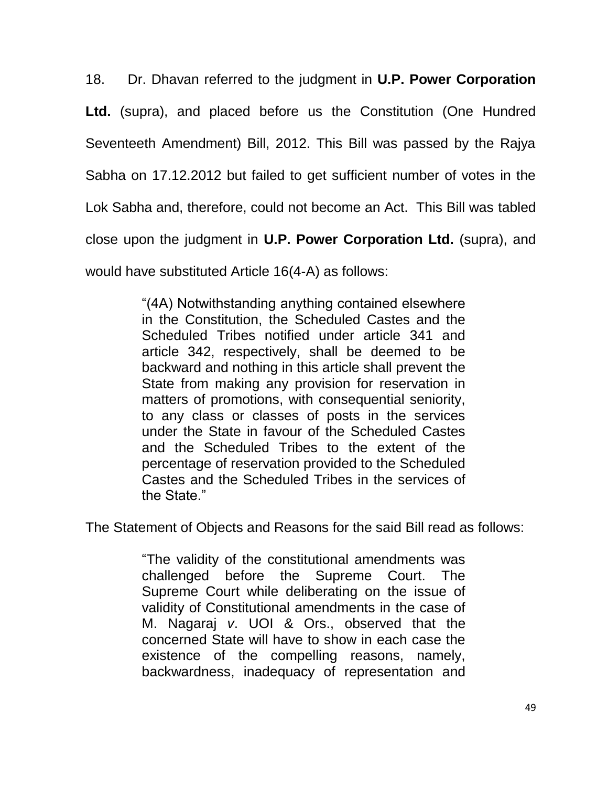18. Dr. Dhavan referred to the judgment in **U.P. Power Corporation** 

**Ltd.** (supra), and placed before us the Constitution (One Hundred

Seventeeth Amendment) Bill, 2012. This Bill was passed by the Rajya

Sabha on 17.12.2012 but failed to get sufficient number of votes in the

Lok Sabha and, therefore, could not become an Act. This Bill was tabled

close upon the judgment in **U.P. Power Corporation Ltd.** (supra), and

would have substituted Article 16(4-A) as follows:

―(4A) Notwithstanding anything contained elsewhere in the Constitution, the Scheduled Castes and the Scheduled Tribes notified under article 341 and article 342, respectively, shall be deemed to be backward and nothing in this article shall prevent the State from making any provision for reservation in matters of promotions, with consequential seniority, to any class or classes of posts in the services under the State in favour of the Scheduled Castes and the Scheduled Tribes to the extent of the percentage of reservation provided to the Scheduled Castes and the Scheduled Tribes in the services of the State."

The Statement of Objects and Reasons for the said Bill read as follows:

―The validity of the constitutional amendments was challenged before the Supreme Court. The Supreme Court while deliberating on the issue of validity of Constitutional amendments in the case of M. Nagaraj *v*. UOI & Ors., observed that the concerned State will have to show in each case the existence of the compelling reasons, namely, backwardness, inadequacy of representation and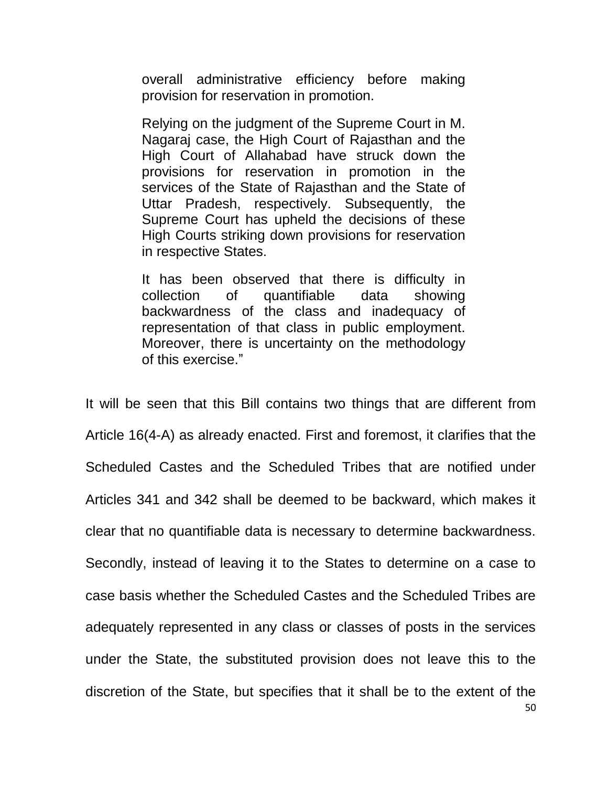overall administrative efficiency before making provision for reservation in promotion.

Relying on the judgment of the Supreme Court in M. Nagaraj case, the High Court of Rajasthan and the High Court of Allahabad have struck down the provisions for reservation in promotion in the services of the State of Rajasthan and the State of Uttar Pradesh, respectively. Subsequently, the Supreme Court has upheld the decisions of these High Courts striking down provisions for reservation in respective States.

It has been observed that there is difficulty in collection of quantifiable data showing backwardness of the class and inadequacy of representation of that class in public employment. Moreover, there is uncertainty on the methodology of this exercise."

It will be seen that this Bill contains two things that are different from Article 16(4-A) as already enacted. First and foremost, it clarifies that the Scheduled Castes and the Scheduled Tribes that are notified under Articles 341 and 342 shall be deemed to be backward, which makes it clear that no quantifiable data is necessary to determine backwardness. Secondly, instead of leaving it to the States to determine on a case to case basis whether the Scheduled Castes and the Scheduled Tribes are adequately represented in any class or classes of posts in the services under the State, the substituted provision does not leave this to the discretion of the State, but specifies that it shall be to the extent of the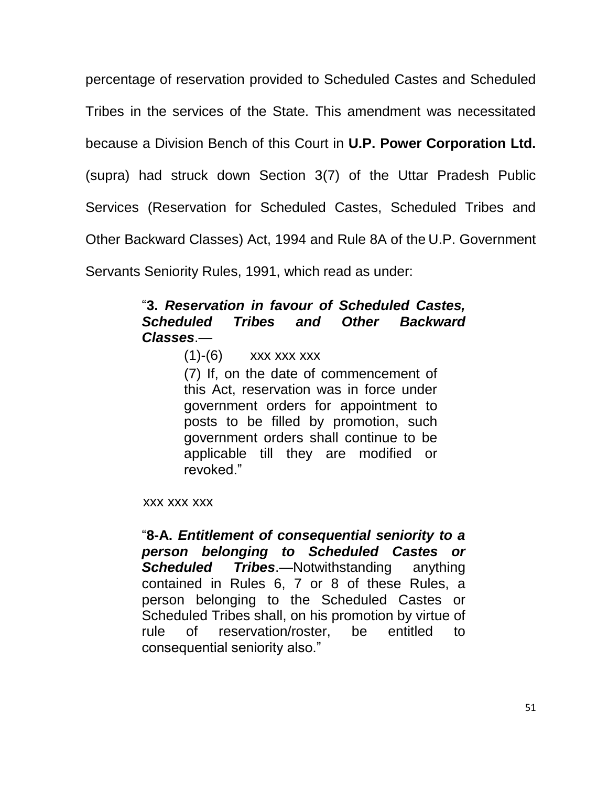percentage of reservation provided to Scheduled Castes and Scheduled Tribes in the services of the State. This amendment was necessitated because a Division Bench of this Court in **U.P. Power Corporation Ltd.** (supra) had struck down Section 3(7) of the Uttar Pradesh Public Services (Reservation for Scheduled Castes, Scheduled Tribes and Other Backward Classes) Act, 1994 and Rule 8A of the U.P. Government

Servants Seniority Rules, 1991, which read as under:

# ―**3.** *Reservation in favour of Scheduled Castes, Scheduled Tribes and Other Backward Classes*.—

 $(1)-(6)$  xxx xxx xxx

(7) If, on the date of commencement of this Act, reservation was in force under government orders for appointment to posts to be filled by promotion, such government orders shall continue to be applicable till they are modified or revoked."

xxx xxx xxx

―**8-A.** *Entitlement of consequential seniority to a person belonging to Scheduled Castes or Scheduled Tribes*.—Notwithstanding anything contained in Rules 6, 7 or 8 of these Rules, a person belonging to the Scheduled Castes or Scheduled Tribes shall, on his promotion by virtue of rule of reservation/roster, be entitled to consequential seniority also."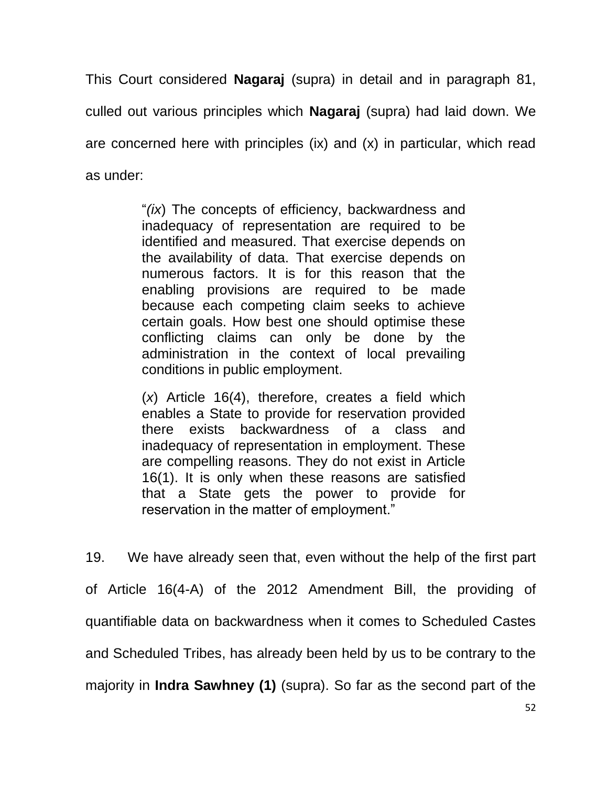This Court considered **Nagaraj** (supra) in detail and in paragraph 81, culled out various principles which **Nagaraj** (supra) had laid down. We are concerned here with principles (ix) and (x) in particular, which read as under:

> "(ix) The concepts of efficiency, backwardness and inadequacy of representation are required to be identified and measured. That exercise depends on the availability of data. That exercise depends on numerous factors. It is for this reason that the enabling provisions are required to be made because each competing claim seeks to achieve certain goals. How best one should optimise these conflicting claims can only be done by the administration in the context of local prevailing conditions in public employment.

> (*x*) Article 16(4), therefore, creates a field which enables a State to provide for reservation provided there exists backwardness of a class and inadequacy of representation in employment. These are compelling reasons. They do not exist in Article 16(1). It is only when these reasons are satisfied that a State gets the power to provide for reservation in the matter of employment."

19. We have already seen that, even without the help of the first part of Article 16(4-A) of the 2012 Amendment Bill, the providing of quantifiable data on backwardness when it comes to Scheduled Castes and Scheduled Tribes, has already been held by us to be contrary to the majority in **Indra Sawhney (1)** (supra). So far as the second part of the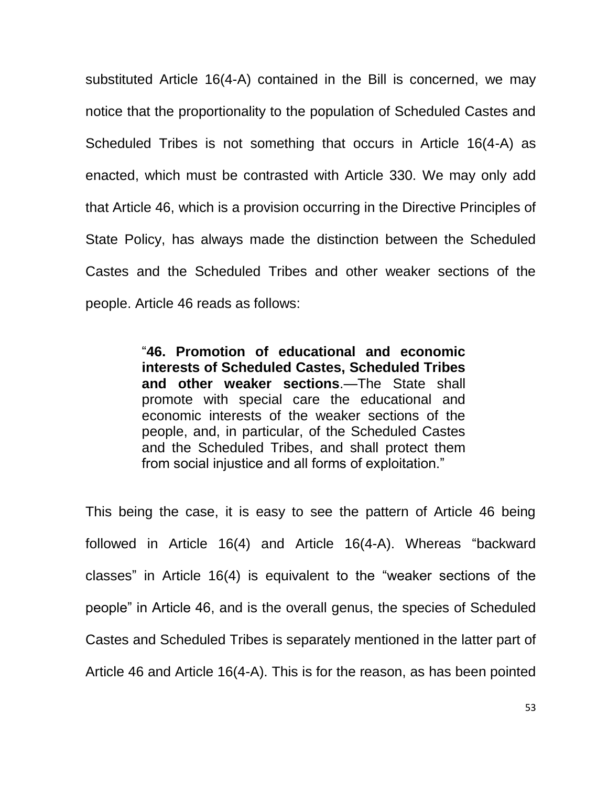substituted Article 16(4-A) contained in the Bill is concerned, we may notice that the proportionality to the population of Scheduled Castes and Scheduled Tribes is not something that occurs in Article 16(4-A) as enacted, which must be contrasted with Article 330. We may only add that Article 46, which is a provision occurring in the Directive Principles of State Policy, has always made the distinction between the Scheduled Castes and the Scheduled Tribes and other weaker sections of the people. Article 46 reads as follows:

> ―**46. Promotion of educational and economic interests of Scheduled Castes, Scheduled Tribes and other weaker sections**.—The State shall promote with special care the educational and economic interests of the weaker sections of the people, and, in particular, of the Scheduled Castes and the Scheduled Tribes, and shall protect them from social injustice and all forms of exploitation."

This being the case, it is easy to see the pattern of Article 46 being followed in Article 16(4) and Article 16(4-A). Whereas "backward classes" in Article  $16(4)$  is equivalent to the "weaker sections of the people" in Article 46, and is the overall genus, the species of Scheduled Castes and Scheduled Tribes is separately mentioned in the latter part of Article 46 and Article 16(4-A). This is for the reason, as has been pointed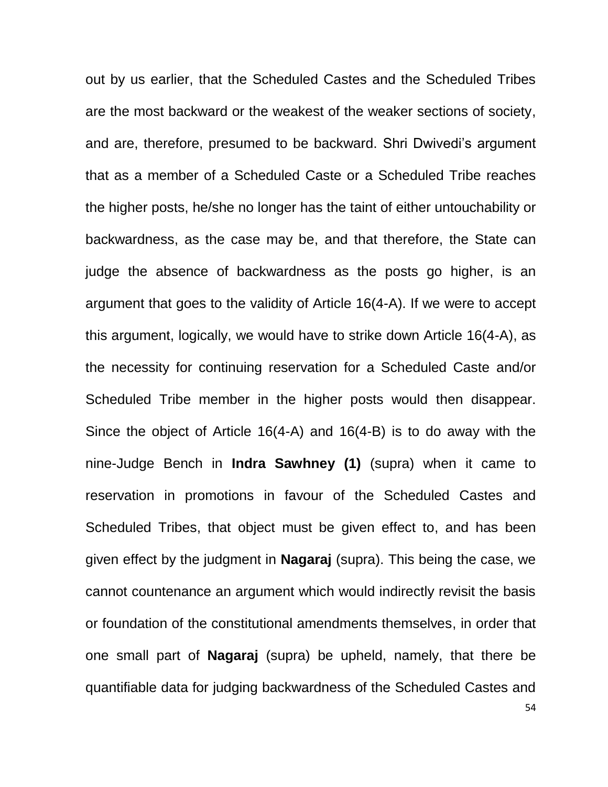54 out by us earlier, that the Scheduled Castes and the Scheduled Tribes are the most backward or the weakest of the weaker sections of society, and are, therefore, presumed to be backward. Shri Dwivedi's argument that as a member of a Scheduled Caste or a Scheduled Tribe reaches the higher posts, he/she no longer has the taint of either untouchability or backwardness, as the case may be, and that therefore, the State can judge the absence of backwardness as the posts go higher, is an argument that goes to the validity of Article 16(4-A). If we were to accept this argument, logically, we would have to strike down Article 16(4-A), as the necessity for continuing reservation for a Scheduled Caste and/or Scheduled Tribe member in the higher posts would then disappear. Since the object of Article 16(4-A) and 16(4-B) is to do away with the nine-Judge Bench in **Indra Sawhney (1)** (supra) when it came to reservation in promotions in favour of the Scheduled Castes and Scheduled Tribes, that object must be given effect to, and has been given effect by the judgment in **Nagaraj** (supra). This being the case, we cannot countenance an argument which would indirectly revisit the basis or foundation of the constitutional amendments themselves, in order that one small part of **Nagaraj** (supra) be upheld, namely, that there be quantifiable data for judging backwardness of the Scheduled Castes and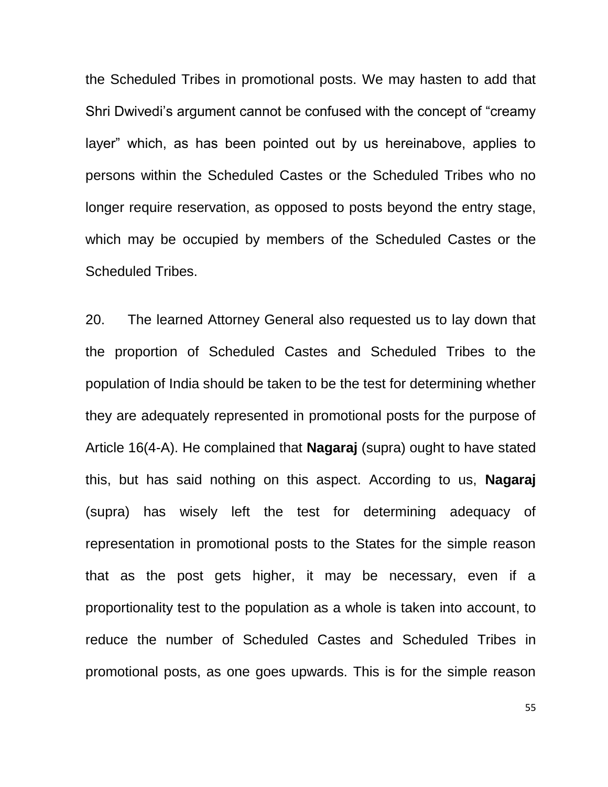the Scheduled Tribes in promotional posts. We may hasten to add that Shri Dwivedi's argument cannot be confused with the concept of "creamy" layer" which, as has been pointed out by us hereinabove, applies to persons within the Scheduled Castes or the Scheduled Tribes who no longer require reservation, as opposed to posts beyond the entry stage, which may be occupied by members of the Scheduled Castes or the Scheduled Tribes.

20. The learned Attorney General also requested us to lay down that the proportion of Scheduled Castes and Scheduled Tribes to the population of India should be taken to be the test for determining whether they are adequately represented in promotional posts for the purpose of Article 16(4-A). He complained that **Nagaraj** (supra) ought to have stated this, but has said nothing on this aspect. According to us, **Nagaraj** (supra) has wisely left the test for determining adequacy of representation in promotional posts to the States for the simple reason that as the post gets higher, it may be necessary, even if a proportionality test to the population as a whole is taken into account, to reduce the number of Scheduled Castes and Scheduled Tribes in promotional posts, as one goes upwards. This is for the simple reason

55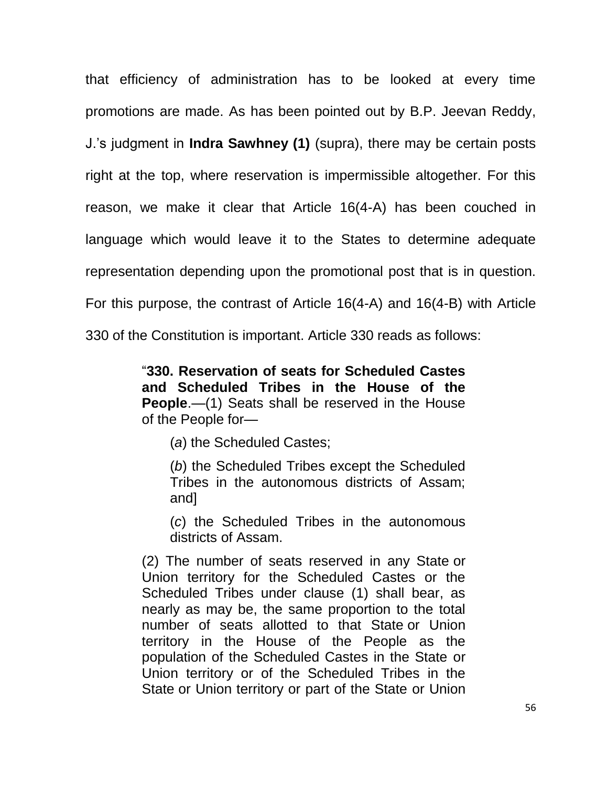that efficiency of administration has to be looked at every time promotions are made. As has been pointed out by B.P. Jeevan Reddy, J.'s judgment in **Indra Sawhney (1)** (supra), there may be certain posts right at the top, where reservation is impermissible altogether. For this reason, we make it clear that Article 16(4-A) has been couched in language which would leave it to the States to determine adequate representation depending upon the promotional post that is in question. For this purpose, the contrast of Article 16(4-A) and 16(4-B) with Article 330 of the Constitution is important. Article 330 reads as follows:

> ―**330. Reservation of seats for Scheduled Castes and Scheduled Tribes in the House of the People**.—(1) Seats shall be reserved in the House of the People for—

(*a*) the Scheduled Castes;

(*b*) the Scheduled Tribes except the Scheduled Tribes in the autonomous districts of Assam; and]

(*c*) the Scheduled Tribes in the autonomous districts of Assam.

(2) The number of seats reserved in any State or Union territory for the Scheduled Castes or the Scheduled Tribes under clause (1) shall bear, as nearly as may be, the same proportion to the total number of seats allotted to that State or Union territory in the House of the People as the population of the Scheduled Castes in the State or Union territory or of the Scheduled Tribes in the State or Union territory or part of the State or Union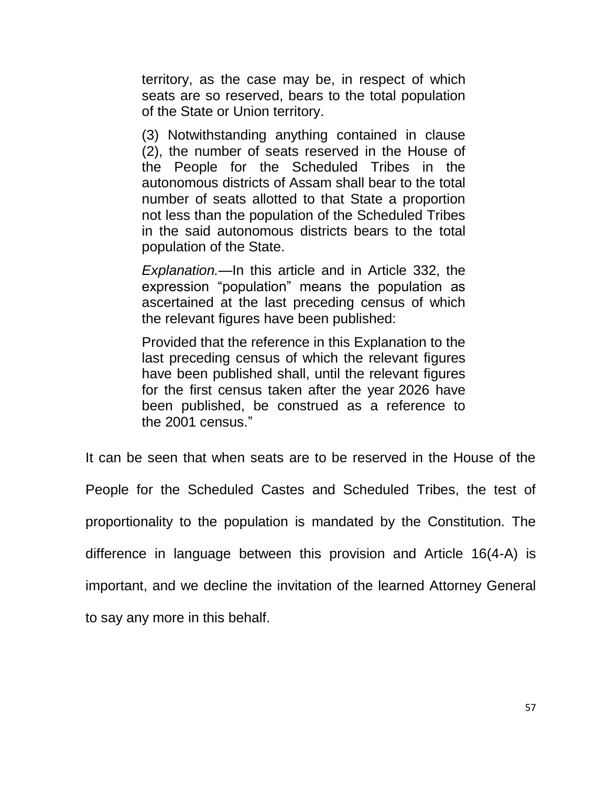territory, as the case may be, in respect of which seats are so reserved, bears to the total population of the State or Union territory.

(3) Notwithstanding anything contained in clause (2), the number of seats reserved in the House of the People for the Scheduled Tribes in the autonomous districts of Assam shall bear to the total number of seats allotted to that State a proportion not less than the population of the Scheduled Tribes in the said autonomous districts bears to the total population of the State.

*Explanation.*—In this article and in Article 332, the expression "population" means the population as ascertained at the last preceding census of which the relevant figures have been published:

Provided that the reference in this Explanation to the last preceding census of which the relevant figures have been published shall, until the relevant figures for the first census taken after the year 2026 have been published, be construed as a reference to the 2001 census."

It can be seen that when seats are to be reserved in the House of the

People for the Scheduled Castes and Scheduled Tribes, the test of

proportionality to the population is mandated by the Constitution. The

difference in language between this provision and Article 16(4-A) is

important, and we decline the invitation of the learned Attorney General

to say any more in this behalf.